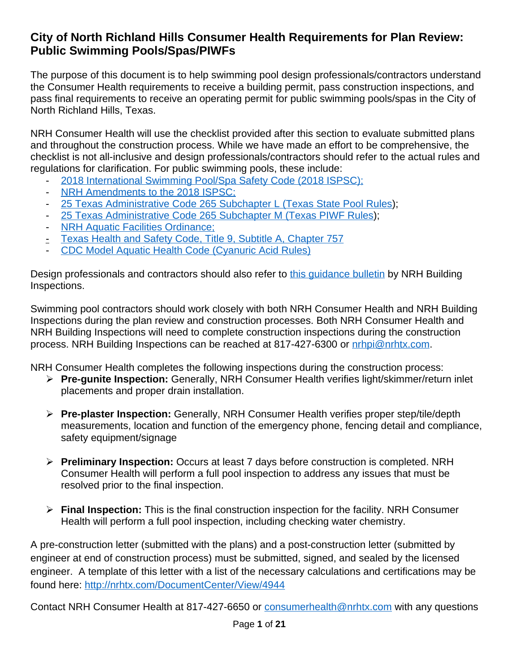## **City of North Richland Hills Consumer Health Requirements for Plan Review: Public Swimming Pools/Spas/PIWFs**

The purpose of this document is to help swimming pool design professionals/contractors understand the Consumer Health requirements to receive a building permit, pass construction inspections, and pass final requirements to receive an operating permit for public swimming pools/spas in the City of North Richland Hills, Texas.

NRH Consumer Health will use the checklist provided after this section to evaluate submitted plans and throughout the construction process. While we have made an effort to be comprehensive, the checklist is not all-inclusive and design professionals/contractors should refer to the actual rules and regulations for clarification. For public swimming pools, these include:

- [2018 International Swimming Pool/Spa Safety Code \(2018 ISPSC\);](https://codes.iccsafe.org/content/ISPSC2018/effective-use-of-the-international-swimming-pool-and-spa-code)
- NRH Amendments to the 2018 ISPSC:
- [25 Texas Administrative Code 265 Subchapter L \(Texas State Pool Rules\)](https://dshs.texas.gov/poolspa/pdf/DSHS-20-0011_-_Public_Swimming_Pools_and_Spas_(EC_Approved_Preamble_and_Rules_-_Adoption).pdf);
- [25 Texas Administrative Code 265 Subchapter M \(Texas PIWF Rules\)](https://dshs.texas.gov/poolspa/pdf/Rules5_2010-15032122549.pdf);
- **[NRH Aquatic Facilities Ordinance;](https://library.municode.com/tx/north_richland_hills/codes/building_and_land_use_regulations?nodeId=PTIICOOR_CH98BUBURE_ARTXIIAQFA)**
- [Texas Health and Safety Code, Title 9, Subtitle A, Chapter 757](https://statutes.capitol.texas.gov/Docs/HS/htm/HS.757.htm)
- [CDC Model Aquatic Health Code \(Cyanuric Acid Rules\)](https://www.cdc.gov/mahc/index.html)

Design professionals and contractors should also refer to [this guidance bulletin](https://www.nrhtx.com/DocumentCenter/View/4979/POOL-CONTRACTORS-GUIDE?bidId=) by NRH Building Inspections.

Swimming pool contractors should work closely with both NRH Consumer Health and NRH Building Inspections during the plan review and construction processes. Both NRH Consumer Health and NRH Building Inspections will need to complete construction inspections during the construction process. NRH Building Inspections can be reached at 817-427-6300 or [nrhpi@nrhtx.com](mailto:nrhpi@nrhtx.com).

NRH Consumer Health completes the following inspections during the construction process:

- **Pre-gunite Inspection:** Generally, NRH Consumer Health verifies light/skimmer/return inlet placements and proper drain installation.
- **Pre-plaster Inspection:** Generally, NRH Consumer Health verifies proper step/tile/depth measurements, location and function of the emergency phone, fencing detail and compliance, safety equipment/signage
- **Preliminary Inspection:** Occurs at least 7 days before construction is completed. NRH Consumer Health will perform a full pool inspection to address any issues that must be resolved prior to the final inspection.
- **Final Inspection:** This is the final construction inspection for the facility. NRH Consumer Health will perform a full pool inspection, including checking water chemistry.

A pre-construction letter (submitted with the plans) and a post-construction letter (submitted by engineer at end of construction process) must be submitted, signed, and sealed by the licensed engineer. A template of this letter with a list of the necessary calculations and certifications may be found here:<http://nrhtx.com/DocumentCenter/View/4944>

Contact NRH Consumer Health at 817-427-6650 or [consumerhealth@nrhtx.com](mailto:consumerhealth@nrhtx.com) with any questions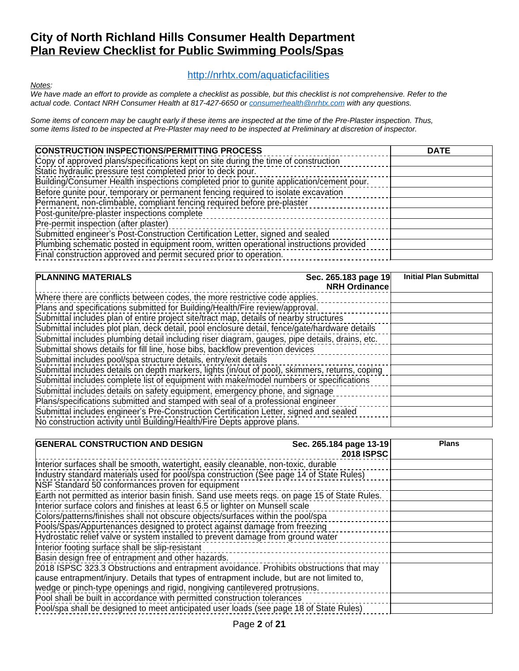## **City of North Richland Hills Consumer Health Department Plan Review Checklist for Public Swimming Pools/Spas**

#### <http://nrhtx.com/aquaticfacilities>

*Notes:*

*We have made an effort to provide as complete a checklist as possible, but this checklist is not comprehensive. Refer to the actual code. Contact NRH Consumer Health at 817-427-6650 or [consumerhealth@nrhtx.com](mailto:consumerhealth@nrhtx.com) with any questions.*

*Some items of concern may be caught early if these items are inspected at the time of the Pre-Plaster inspection. Thus, some items listed to be inspected at Pre-Plaster may need to be inspected at Preliminary at discretion of inspector.*

| <b>CONSTRUCTION INSPECTIONS/PERMITTING PROCESS</b>                                      | <b>DATE</b> |
|-----------------------------------------------------------------------------------------|-------------|
| Copy of approved plans/specifications kept on site during the time of construction      |             |
| Static hydraulic pressure test completed prior to deck pour.                            |             |
| Building/Consumer Health inspections completed prior to gunite application/cement pour. |             |
| Before gunite pour, temporary or permanent fencing required to isolate excavation       |             |
| Permanent, non-climbable, compliant fencing required before pre-plaster                 |             |
| Post-gunite/pre-plaster inspections complete                                            |             |
| Pre-permit inspection (after plaster)                                                   |             |
| Submitted engineer's Post-Construction Certification Letter, signed and sealed          |             |
| Plumbing schematic posted in equipment room, written operational instructions provided  |             |
| Final construction approved and permit secured prior to operation.                      |             |

| <b>PLANNING MATERIALS</b>                                                                       | Sec. 265.183 page 19<br><b>NRH Ordinance</b> | <b>Initial Plan Submittal</b> |
|-------------------------------------------------------------------------------------------------|----------------------------------------------|-------------------------------|
| Where there are conflicts between codes, the more restrictive code applies.                     |                                              |                               |
| Plans and specifications submitted for Building/Health/Fire review/approval.                    |                                              |                               |
| Submittal includes plan of entire project site/tract map, details of nearby structures          |                                              |                               |
| Submittal includes plot plan, deck detail, pool enclosure detail, fence/gate/hardware details   |                                              |                               |
| Submittal includes plumbing detail including riser diagram, gauges, pipe details, drains, etc.  |                                              |                               |
| Submittal shows details for fill line, hose bibs, backflow prevention devices                   |                                              |                               |
| Submittal includes pool/spa structure details, entry/exit details                               |                                              |                               |
| Submittal includes details on depth markers, lights (in/out of pool), skimmers, returns, coping |                                              |                               |
| Submittal includes complete list of equipment with make/model numbers or specifications         |                                              |                               |
| Submittal includes details on safety equipment, emergency phone, and signage                    |                                              |                               |
| Plans/specifications submitted and stamped with seal of a professional engineer                 |                                              |                               |
| Submittal includes engineer's Pre-Construction Certification Letter, signed and sealed          |                                              |                               |
| No construction activity until Building/Health/Fire Depts approve plans.                        |                                              |                               |

| <b>GENERAL CONSTRUCTION AND DESIGN</b>                                                        | Sec. 265.184 page 13-19<br><b>2018 ISPSC</b> | <b>Plans</b> |
|-----------------------------------------------------------------------------------------------|----------------------------------------------|--------------|
| Interior surfaces shall be smooth, watertight, easily cleanable, non-toxic, durable           |                                              |              |
| Industry standard materials used for pool/spa construction (See page 14 of State Rules)       |                                              |              |
| NSF Standard 50 conformances proven for equipment                                             |                                              |              |
| Earth not permitted as interior basin finish. Sand use meets regs. on page 15 of State Rules. |                                              |              |
| Interior surface colors and finishes at least 6.5 or lighter on Munsell scale                 |                                              |              |
| Colors/patterns/finishes shall not obscure objects/surfaces within the pool/spa               |                                              |              |
| Pools/Spas/Appurtenances designed to protect against damage from freezing                     |                                              |              |
| Hydrostatic relief valve or system installed to prevent damage from ground water              |                                              |              |
| Interior footing surface shall be slip-resistant                                              |                                              |              |
| Basin design free of entrapment and other hazards.                                            |                                              |              |
| 2018 ISPSC 323.3 Obstructions and entrapment avoidance. Prohibits obstructions that may       |                                              |              |
| cause entrapment/injury. Details that types of entrapment include, but are not limited to,    |                                              |              |
| wedge or pinch-type openings and rigid, nongiving cantilevered protrusions.                   |                                              |              |
| Pool shall be built in accordance with permitted construction tolerances                      |                                              |              |
| Pool/spa shall be designed to meet anticipated user loads (see page 18 of State Rules)        |                                              |              |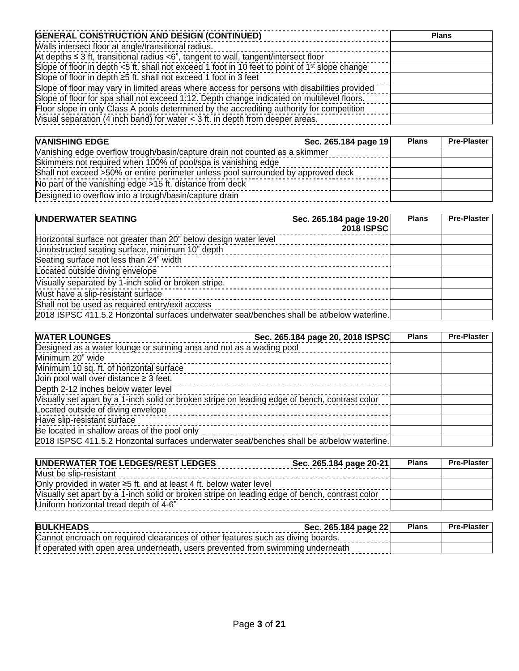| <b>GENERAL CONSTRUCTION AND DESIGN (CONTINUED)</b>                                                         | <b>Plans</b> |
|------------------------------------------------------------------------------------------------------------|--------------|
| Walls intersect floor at angle/transitional radius.                                                        |              |
| At depths $\leq$ 3 ft, transitional radius $\lt$ 6", tangent to wall, tangent/intersect floor              |              |
| Slope of floor in depth <5 ft. shall not exceed 1 foot in 10 feet to point of 1 <sup>st</sup> slope change |              |
| Slope of floor in depth ≥5 ft. shall not exceed 1 foot in 3 feet                                           |              |
| Slope of floor may vary in limited areas where access for persons with disabilities provided               |              |
| Slope of floor for spa shall not exceed 1:12. Depth change indicated on multilevel floors.                 |              |
| Floor slope in only Class A pools determined by the accrediting authority for competition                  |              |
| Visual separation (4 inch band) for water $<$ 3 ft. in depth from deeper areas.                            |              |

| <b>VANISHING EDGE</b>                                                             | Sec. 265.184 page 19 | <b>Plans</b> | <b>Pre-Plaster</b> |
|-----------------------------------------------------------------------------------|----------------------|--------------|--------------------|
| Vanishing edge overflow trough/basin/capture drain not counted as a skimmer       |                      |              |                    |
| Skimmers not required when 100% of pool/spa is vanishing edge                     |                      |              |                    |
| Shall not exceed >50% or entire perimeter unless pool surrounded by approved deck |                      |              |                    |
| No part of the vanishing edge >15 ft. distance from deck                          |                      |              |                    |
| Designed to overflow into a trough/basin/capture drain                            |                      |              |                    |

| UNDERWATER SEATING                                                                          | Sec. 265.184 page 19-20<br>2018 ISPSC | <b>Plans</b> | <b>Pre-Plaster</b> |
|---------------------------------------------------------------------------------------------|---------------------------------------|--------------|--------------------|
| Horizontal surface not greater than 20" below design water level                            |                                       |              |                    |
| Unobstructed seating surface, minimum 10" depth                                             |                                       |              |                    |
| Seating surface not less than 24" width                                                     |                                       |              |                    |
| Located outside diving envelope                                                             |                                       |              |                    |
| Visually separated by 1-inch solid or broken stripe.                                        |                                       |              |                    |
| Must have a slip-resistant surface                                                          |                                       |              |                    |
| Shall not be used as required entry/exit access                                             |                                       |              |                    |
| 2018 ISPSC 411.5.2 Horizontal surfaces underwater seat/benches shall be at/below waterline. |                                       |              |                    |

| <b>WATER LOUNGES</b>                                                                           | Sec. 265.184 page 20, 2018 ISPSC | <b>Plans</b> | <b>Pre-Plaster</b> |
|------------------------------------------------------------------------------------------------|----------------------------------|--------------|--------------------|
| Designed as a water lounge or sunning area and not as a wading pool                            |                                  |              |                    |
| Minimum 20" wide                                                                               |                                  |              |                    |
| Minimum 10 sq. ft. of horizontal surface                                                       |                                  |              |                    |
| Join pool wall over distance $\geq 3$ feet.                                                    |                                  |              |                    |
| Depth 2-12 inches below water level                                                            |                                  |              |                    |
| Visually set apart by a 1-inch solid or broken stripe on leading edge of bench, contrast color |                                  |              |                    |
| Located outside of diving envelope                                                             |                                  |              |                    |
| Have slip-resistant surface                                                                    |                                  |              |                    |
| Be located in shallow areas of the pool only                                                   |                                  |              |                    |
| 2018 ISPSC 411.5.2 Horizontal surfaces underwater seat/benches shall be at/below waterline.    |                                  |              |                    |

| UNDERWATER TOE LEDGES/REST LEDGES                                                              | Sec. 265.184 page 20-21 | <b>Plans</b> | <b>Pre-Plaster</b> |
|------------------------------------------------------------------------------------------------|-------------------------|--------------|--------------------|
| Must be slip-resistant                                                                         |                         |              |                    |
| Only provided in water $\geq 5$ ft. and at least 4 ft. below water level                       |                         |              |                    |
| Visually set apart by a 1-inch solid or broken stripe on leading edge of bench, contrast color |                         |              |                    |
| Uniform horizontal tread depth of 4-6"                                                         |                         |              |                    |

| <b>BULKHEADS</b>                                                                | Sec. 265.184 page 22 | <b>Plans</b> | <b>Pre-Plaster</b> |
|---------------------------------------------------------------------------------|----------------------|--------------|--------------------|
| Cannot encroach on required clearances of other features such as diving boards. |                      |              |                    |
| If operated with open area underneath, users prevented from swimming underneath |                      |              |                    |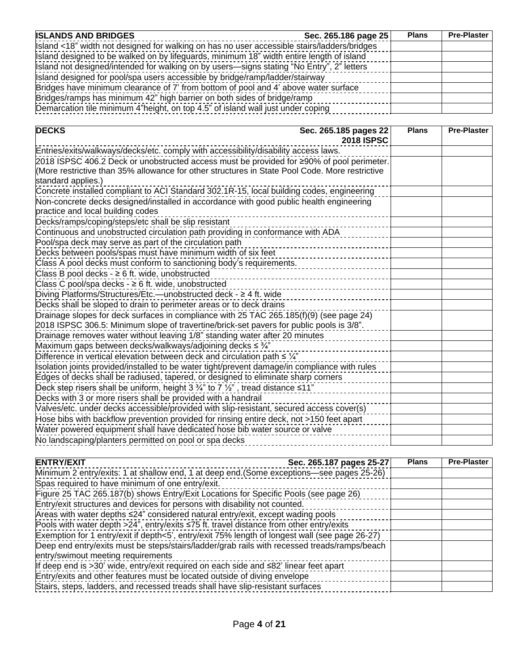| <b>ISLANDS AND BRIDGES</b>                                                                  | Sec. 265.186 page 25 | <b>Plans</b> | <b>Pre-Plaster</b> |
|---------------------------------------------------------------------------------------------|----------------------|--------------|--------------------|
| Island <18" width not designed for walking on has no user accessible stairs/ladders/bridges |                      |              |                    |
| Island designed to be walked on by lifeguards, minimum 18" width entire length of island    |                      |              |                    |
| Island not designed/intended for walking on by users—signs stating "No Entry", 2" letters   |                      |              |                    |
| Island designed for pool/spa users accessible by bridge/ramp/ladder/stairway                |                      |              |                    |
| Bridges have minimum clearance of 7' from bottom of pool and 4' above water surface         |                      |              |                    |
| Bridges/ramps has minimum 42" high barrier on both sides of bridge/ramp                     |                      |              |                    |
| Demarcation tile minimum 4"height, on top 4.5" of island wall just under coping             |                      |              |                    |

| <b>DECKS</b><br>Sec. 265.185 pages 22<br><b>2018 ISPSC</b>                                                           | <b>Plans</b> | <b>Pre-Plaster</b> |
|----------------------------------------------------------------------------------------------------------------------|--------------|--------------------|
| Entries/exits/walkways/decks/etc. comply with accessibility/disability access laws.                                  |              |                    |
| 2018 ISPSC 406.2 Deck or unobstructed access must be provided for ≥90% of pool perimeter.                            |              |                    |
| (More restrictive than 35% allowance for other structures in State Pool Code. More restrictive<br>standard applies.) |              |                    |
| Concrete installed compliant to ACI Standard 302.1R-15, local building codes, engineering                            |              |                    |
| Non-concrete decks designed/installed in accordance with good public health engineering                              |              |                    |
| practice and local building codes                                                                                    |              |                    |
| Decks/ramps/coping/steps/etc shall be slip resistant                                                                 |              |                    |
| Continuous and unobstructed circulation path providing in conformance with ADA                                       |              |                    |
| Pool/spa deck may serve as part of the circulation path                                                              |              |                    |
| Decks between pools/spas must have minimum width of six feet                                                         |              |                    |
| Class A pool decks must conform to sanctioning body's requirements.                                                  |              |                    |
| Class B pool decks - $\geq 6$ ft. wide, unobstructed                                                                 |              |                    |
| Class C pool/spa decks - $\geq 6$ ft. wide, unobstructed                                                             |              |                    |
| Diving Platforms/Structures/Etc.—unobstructed deck - ≥ 4 ft. wide                                                    |              |                    |
| Decks shall be sloped to drain to perimeter areas or to deck drains                                                  |              |                    |
| Drainage slopes for deck surfaces in compliance with 25 TAC 265.185(f)(9) (see page 24)                              |              |                    |
| 2018 ISPSC 306.5: Minimum slope of travertine/brick-set pavers for public pools is 3/8".                             |              |                    |
| Drainage removes water without leaving 1/8" standing water after 20 minutes                                          |              |                    |
| Maximum gaps between decks/walkways/adjoining decks ≤ 3/4"                                                           |              |                    |
| Difference in vertical elevation between deck and circulation path $\leq \frac{1}{4}$                                |              |                    |
| Isolation joints provided/installed to be water tight/prevent damage/in compliance with rules                        |              |                    |
| Edges of decks shall be radiused, tapered, or designed to eliminate sharp corners                                    |              |                    |
| Deck step risers shall be uniform, height 3 $\frac{3}{4}$ " to 7 $\frac{1}{2}$ ", tread distance ≤11"                |              |                    |
| Decks with 3 or more risers shall be provided with a handrail                                                        |              |                    |
| Valves/etc. under decks accessible/provided with slip-resistant, secured access cover(s)                             |              |                    |
| Hose bibs with backflow prevention provided for rinsing entire deck, not >150 feet apart                             |              |                    |
| Water powered equipment shall have dedicated hose bib water source or valve                                          |              |                    |
| No landscaping/planters permitted on pool or spa decks                                                               |              |                    |

| <b>ENTRY/EXIT</b>                                                                                | Sec. 265.187 pages 25-27 | <b>Plans</b> | <b>Pre-Plaster</b> |
|--------------------------------------------------------------------------------------------------|--------------------------|--------------|--------------------|
| Minimum 2 entry/exits: 1 at shallow end, 1 at deep end.(Some exceptions—see pages 25-26)         |                          |              |                    |
| Spas required to have minimum of one entry/exit.                                                 |                          |              |                    |
| Figure 25 TAC 265.187(b) shows Entry/Exit Locations for Specific Pools (see page 26)             |                          |              |                    |
| Entry/exit structures and devices for persons with disability not counted.                       |                          |              |                    |
| Areas with water depths ≤24" considered natural entry/exit, except wading pools                  |                          |              |                    |
| Pools with water depth $>24$ ", entry/exits $\leq 75$ ft. travel distance from other entry/exits |                          |              |                    |
| Exemption for 1 entry/exit if depth<5', entry/exit 75% length of longest wall (see page 26-27)   |                          |              |                    |
| Deep end entry/exits must be steps/stairs/ladder/grab rails with recessed treads/ramps/beach     |                          |              |                    |
| entry/swimout meeting requirements                                                               |                          |              |                    |
| If deep end is >30' wide, entry/exit required on each side and ≤82' linear feet apart            |                          |              |                    |
| Entry/exits and other features must be located outside of diving envelope                        |                          |              |                    |
| Stairs, steps, ladders, and recessed treads shall have slip-resistant surfaces                   |                          |              |                    |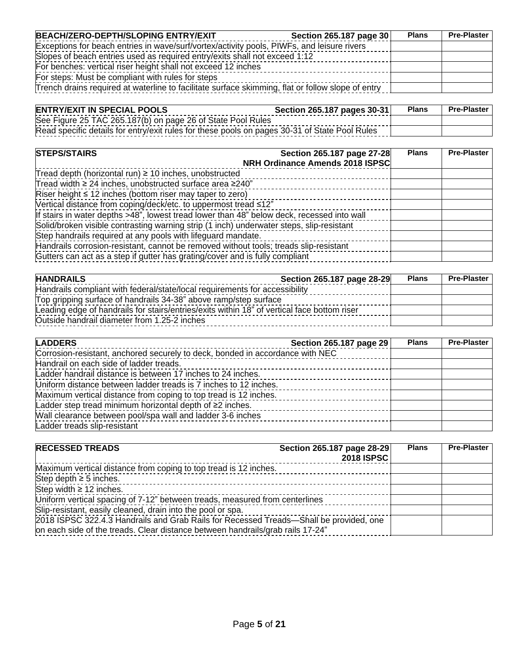| BEACH/ZERO-DEPTH/SLOPING ENTRY/EXIT                                                               | Section 265.187 page 30 | <b>Plans</b> | <b>Pre-Plaster</b> |
|---------------------------------------------------------------------------------------------------|-------------------------|--------------|--------------------|
| Exceptions for beach entries in wave/surf/vortex/activity pools, PIWFs, and leisure rivers        |                         |              |                    |
| Slopes of beach entries used as required entry/exits shall not exceed 1:12                        |                         |              |                    |
| For benches: vertical riser height shall not exceed 12 inches                                     |                         |              |                    |
| For steps: Must be compliant with rules for steps                                                 |                         |              |                    |
| Trench drains required at waterline to facilitate surface skimming, flat or follow slope of entry |                         |              |                    |

| <b>ENTRY/EXIT IN SPECIAL POOLS</b>                                                            | Section 265.187 pages 30-31 | <b>Plans</b> | <b>Pre-Plaster</b> |
|-----------------------------------------------------------------------------------------------|-----------------------------|--------------|--------------------|
| See Figure 25 TAC 265.187(b) on page 26 of State Pool Rules                                   |                             |              |                    |
| Read specific details for entry/exit rules for these pools on pages 30-31 of State Pool Rules |                             |              |                    |

| <b>STEPS/STAIRS</b><br>Section 265.187 page 27-28<br>NRH Ordinance Amends 2018 ISPSC       | <b>Plans</b> | <b>Pre-Plaster</b> |
|--------------------------------------------------------------------------------------------|--------------|--------------------|
| Tread depth (horizontal run) $\geq$ 10 inches, unobstructed                                |              |                    |
| Tread width $\geq$ 24 inches, unobstructed surface area $\geq$ 240"                        |              |                    |
| Riser height $\leq 12$ inches (bottom riser may taper to zero)                             |              |                    |
| Vertical distance from coping/deck/etc. to uppermost tread ≤12"                            |              |                    |
| If stairs in water depths >48", lowest tread lower than 48" below deck, recessed into wall |              |                    |
| Solid/broken visible contrasting warning strip (1 inch) underwater steps, slip-resistant   |              |                    |
| Step handrails required at any pools with lifeguard mandate.                               |              |                    |
| Handrails corrosion-resistant, cannot be removed without tools; treads slip-resistant      |              |                    |
| Gutters can act as a step if gutter has grating/cover and is fully compliant               |              |                    |

| <b>HANDRAILS</b>                                                                            | Section 265.187 page 28-29 | <b>Plans</b> | <b>Pre-Plaster</b> |
|---------------------------------------------------------------------------------------------|----------------------------|--------------|--------------------|
| Handrails compliant with federal/state/local requirements for accessibility                 |                            |              |                    |
| Top gripping surface of handrails 34-38" above ramp/step surface                            |                            |              |                    |
| Leading edge of handrails for stairs/entries/exits within 18" of vertical face bottom riser |                            |              |                    |
| Outside handrail diameter from 1.25-2 inches                                                |                            |              |                    |

| <b>LADDERS</b>                                                                | Section 265.187 page 29 | <b>Plans</b> | <b>Pre-Plaster</b> |
|-------------------------------------------------------------------------------|-------------------------|--------------|--------------------|
| Corrosion-resistant, anchored securely to deck, bonded in accordance with NEC |                         |              |                    |
| Handrail on each side of ladder treads.                                       |                         |              |                    |
| Ladder handrail distance is between 17 inches to 24 inches.                   |                         |              |                    |
| Uniform distance between ladder treads is 7 inches to 12 inches.              |                         |              |                    |
| Maximum vertical distance from coping to top tread is 12 inches.              |                         |              |                    |
| Ladder step tread minimum horizontal depth of ≥2 inches.                      |                         |              |                    |
| Wall clearance between pool/spa wall and ladder 3-6 inches                    |                         |              |                    |
| Ladder treads slip-resistant                                                  |                         |              |                    |

| <b>RECESSED TREADS</b>                                                                                                                                                   | Section 265.187 page 28-29<br><b>2018 ISPSC</b> | <b>Plans</b> | <b>Pre-Plaster</b> |
|--------------------------------------------------------------------------------------------------------------------------------------------------------------------------|-------------------------------------------------|--------------|--------------------|
| Maximum vertical distance from coping to top tread is 12 inches.                                                                                                         |                                                 |              |                    |
| Step depth $\geq$ 5 inches.                                                                                                                                              |                                                 |              |                    |
| Step width $\geq$ 12 inches.                                                                                                                                             |                                                 |              |                    |
| Uniform vertical spacing of 7-12" between treads, measured from centerlines                                                                                              |                                                 |              |                    |
| Slip-resistant, easily cleaned, drain into the pool or spa.                                                                                                              |                                                 |              |                    |
| 2018 ISPSC 322.4.3 Handrails and Grab Rails for Recessed Treads-Shall be provided, one<br>on each side of the treads. Clear distance between handrails/grab rails 17-24" |                                                 |              |                    |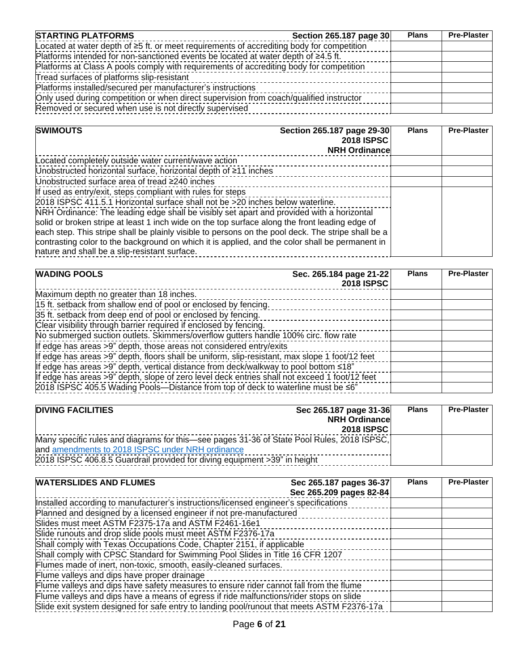| <b>STARTING PLATFORMS</b>                                                                       | Section 265.187 page 30 | <b>Plans</b> | <b>Pre-Plaster</b> |
|-------------------------------------------------------------------------------------------------|-------------------------|--------------|--------------------|
| Located at water depth of $\geq 5$ ft. or meet requirements of accrediting body for competition |                         |              |                    |
| Platforms intended for non-sanctioned events be located at water depth of $\geq 4.5$ ft.        |                         |              |                    |
| Platforms at Class A pools comply with requirements of accrediting body for competition         |                         |              |                    |
| Tread surfaces of platforms slip-resistant                                                      |                         |              |                    |
| Platforms installed/secured per manufacturer's instructions                                     |                         |              |                    |
| Only used during competition or when direct supervision from coach/qualified instructor         |                         |              |                    |
| Removed or secured when use is not directly supervised                                          |                         |              |                    |

| <b>SWIMOUTS</b><br>Section 265.187 page 29-30                                                      | <b>2018 ISPSC</b><br><b>NRH Ordinance</b> | <b>Plans</b> | <b>Pre-Plaster</b> |
|----------------------------------------------------------------------------------------------------|-------------------------------------------|--------------|--------------------|
| Located completely outside water current/wave action                                               |                                           |              |                    |
| Unobstructed horizontal surface, horizontal depth of ≥11 inches                                    |                                           |              |                    |
| Unobstructed surface area of tread ≥240 inches                                                     |                                           |              |                    |
| If used as entry/exit, steps compliant with rules for steps                                        |                                           |              |                    |
| 2018 ISPSC 411.5.1 Horizontal surface shall not be >20 inches below waterline.                     |                                           |              |                    |
| NRH Ordinance: The leading edge shall be visibly set apart and provided with a horizontal          |                                           |              |                    |
| solid or broken stripe at least 1 inch wide on the top surface along the front leading edge of     |                                           |              |                    |
| each step. This stripe shall be plainly visible to persons on the pool deck. The stripe shall be a |                                           |              |                    |
| contrasting color to the background on which it is applied, and the color shall be permanent in    |                                           |              |                    |
| nature and shall be a slip-resistant surface.                                                      |                                           |              |                    |

| <b>WADING POOLS</b>                                                                            | Sec. 265.184 page 21-22<br>2018 ISPSC | <b>Plans</b> | <b>Pre-Plaster</b> |
|------------------------------------------------------------------------------------------------|---------------------------------------|--------------|--------------------|
| Maximum depth no greater than 18 inches.                                                       |                                       |              |                    |
| 15 ft. setback from shallow end of pool or enclosed by fencing.                                |                                       |              |                    |
| 35 ft. setback from deep end of pool or enclosed by fencing.                                   |                                       |              |                    |
| Clear visibility through barrier required if enclosed by fencing.                              |                                       |              |                    |
| No submerged suction outlets. Skimmers/overflow gutters handle 100% circ. flow rate            |                                       |              |                    |
| If edge has areas >9" depth, those areas not considered entry/exits                            |                                       |              |                    |
| If edge has areas >9" depth, floors shall be uniform, slip-resistant, max slope 1 foot/12 feet |                                       |              |                    |
| If edge has areas $>9$ " depth, vertical distance from deck/walkway to pool bottom $\leq 18$ " |                                       |              |                    |
| If edge has areas >9" depth, slope of zero level deck entries shall not exceed 1 foot/12 feet  |                                       |              |                    |
| 2018 ISPSC 405.5 Wading Pools—Distance from top of deck to waterline must be ≤6"               |                                       |              |                    |

| <b>DIVING FACILITIES</b>                                                                   | Sec 265.187 page 31-36<br><b>NRH Ordinancel</b><br>2018 ISPSC | <b>Plans</b> | <b>Pre-Plaster</b> |
|--------------------------------------------------------------------------------------------|---------------------------------------------------------------|--------------|--------------------|
| Many specific rules and diagrams for this—see pages 31-36 of State Pool Rules, 2018 ISPSC, |                                                               |              |                    |
| and amendments to 2018 ISPSC under NRH ordinance                                           |                                                               |              |                    |
| 2018 ISPSC 406.8.5 Guardrail provided for diving equipment >39" in height                  |                                                               |              |                    |

| <b>WATERSLIDES AND FLUMES</b>                                                              | Sec 265.187 pages 36-37<br>Sec 265.209 pages 82-84 | <b>Plans</b> | <b>Pre-Plaster</b> |
|--------------------------------------------------------------------------------------------|----------------------------------------------------|--------------|--------------------|
| Installed according to manufacturer's instructions/licensed engineer's specifications      |                                                    |              |                    |
| Planned and designed by a licensed engineer if not pre-manufactured                        |                                                    |              |                    |
| Slides must meet ASTM F2375-17a and ASTM F2461-16e1                                        |                                                    |              |                    |
| Slide runouts and drop slide pools must meet ASTM F2376-17a                                |                                                    |              |                    |
| Shall comply with Texas Occupations Code, Chapter 2151, if applicable                      |                                                    |              |                    |
| Shall comply with CPSC Standard for Swimming Pool Slides in Title 16 CFR 1207              |                                                    |              |                    |
| Flumes made of inert, non-toxic, smooth, easily-cleaned surfaces.                          |                                                    |              |                    |
| Flume valleys and dips have proper drainage                                                |                                                    |              |                    |
| Flume valleys and dips have safety measures to ensure rider cannot fall from the flume     |                                                    |              |                    |
| Flume valleys and dips have a means of egress if ride malfunctions/rider stops on slide    |                                                    |              |                    |
| Slide exit system designed for safe entry to landing pool/runout that meets ASTM F2376-17a |                                                    |              |                    |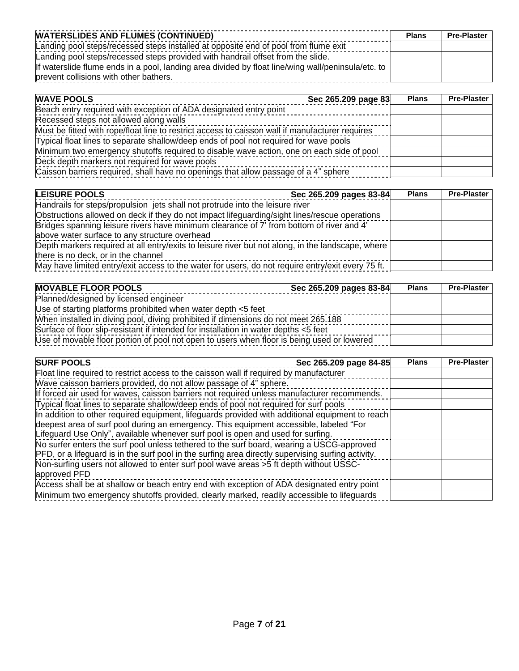| <b>WATERSLIDES AND FLUMES (CONTINUED)</b>                                                          |  | <b>Pre-Plaster</b> |
|----------------------------------------------------------------------------------------------------|--|--------------------|
| Landing pool steps/recessed steps installed at opposite end of pool from flume exit                |  |                    |
| Landing pool steps/recessed steps provided with handrail offset from the slide.                    |  |                    |
| If waterslide flume ends in a pool, landing area divided by float line/wing wall/peninsula/etc. to |  |                    |
| prevent collisions with other bathers.                                                             |  |                    |

| <b>WAVE POOLS</b>                                                                               | Sec 265.209 page 83 | <b>Plans</b> | <b>Pre-Plaster</b> |
|-------------------------------------------------------------------------------------------------|---------------------|--------------|--------------------|
| Beach entry required with exception of ADA designated entry point                               |                     |              |                    |
| Recessed steps not allowed along walls                                                          |                     |              |                    |
| Must be fitted with rope/float line to restrict access to caisson wall if manufacturer requires |                     |              |                    |
| Typical float lines to separate shallow/deep ends of pool not required for wave pools           |                     |              |                    |
| Minimum two emergency shutoffs required to disable wave action, one on each side of pool        |                     |              |                    |
| Deck depth markers not required for wave pools                                                  |                     |              |                    |
| Caisson barriers required, shall have no openings that allow passage of a 4" sphere             |                     |              |                    |

| <b>LEISURE POOLS</b>                                                                              | Sec 265.209 pages 83-84 | <b>Plans</b> | <b>Pre-Plaster</b> |
|---------------------------------------------------------------------------------------------------|-------------------------|--------------|--------------------|
| Handrails for steps/propulsion jets shall not protrude into the leisure river                     |                         |              |                    |
| Obstructions allowed on deck if they do not impact lifeguarding/sight lines/rescue operations     |                         |              |                    |
| Bridges spanning leisure rivers have minimum clearance of 7' from bottom of river and 4'          |                         |              |                    |
| above water surface to any structure overhead                                                     |                         |              |                    |
| Depth markers required at all entry/exits to leisure river but not along, in the landscape, where |                         |              |                    |
| there is no deck, or in the channel                                                               |                         |              |                    |
| May have limited entry/exit access to the water for users, do not require entry/exit every 75 ft. |                         |              |                    |

| <b>MOVABLE FLOOR POOLS</b>                                                                 | Sec 265.209 pages 83-84 | <b>Plans</b> | <b>Pre-Plaster</b> |
|--------------------------------------------------------------------------------------------|-------------------------|--------------|--------------------|
| Planned/designed by licensed engineer                                                      |                         |              |                    |
| Use of starting platforms prohibited when water depth <5 feet                              |                         |              |                    |
| When installed in diving pool, diving prohibited if dimensions do not meet 265.188         |                         |              |                    |
| Surface of floor slip-resistant if intended for installation in water depths <5 feet       |                         |              |                    |
| Use of movable floor portion of pool not open to users when floor is being used or lowered |                         |              |                    |

| <b>SURF POOLS</b>                                                                                  | Sec 265.209 page 84-85 | <b>Plans</b> | <b>Pre-Plaster</b> |
|----------------------------------------------------------------------------------------------------|------------------------|--------------|--------------------|
| Float line required to restrict access to the caisson wall if required by manufacturer             |                        |              |                    |
| Wave caisson barriers provided, do not allow passage of 4" sphere.                                 |                        |              |                    |
| If forced air used for waves, caisson barriers not required unless manufacturer recommends.        |                        |              |                    |
| Typical float lines to separate shallow/deep ends of pool not required for surf pools              |                        |              |                    |
| In addition to other required equipment, lifeguards provided with additional equipment to reach    |                        |              |                    |
| deepest area of surf pool during an emergency. This equipment accessible, labeled "For             |                        |              |                    |
| Lifeguard Use Only", available whenever surf pool is open and used for surfing.                    |                        |              |                    |
| No surfer enters the surf pool unless tethered to the surf board, wearing a USCG-approved          |                        |              |                    |
| PFD, or a lifeguard is in the surf pool in the surfing area directly supervising surfing activity. |                        |              |                    |
| Non-surfing users not allowed to enter surf pool wave areas >5 ft depth without USSC-              |                        |              |                    |
| approved PFD                                                                                       |                        |              |                    |
| Access shall be at shallow or beach entry end with exception of ADA designated entry point         |                        |              |                    |
| Minimum two emergency shutoffs provided, clearly marked, readily accessible to lifeguards          |                        |              |                    |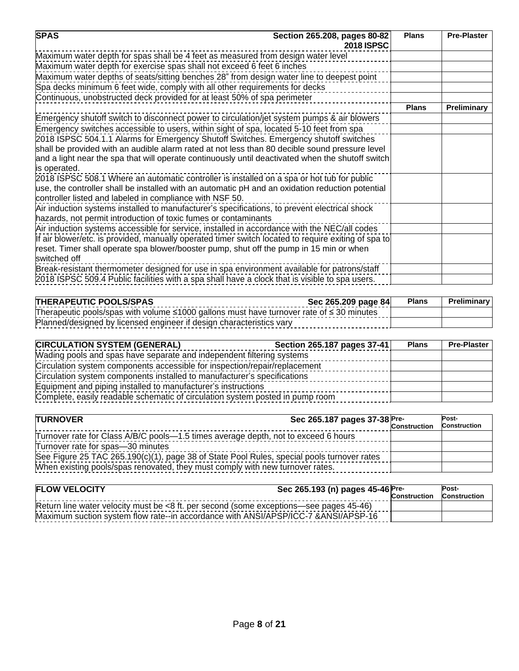| <b>SPAS</b><br>Section 265.208, pages 80-82<br><b>2018 ISPSC</b>                                                                                             | <b>Plans</b> | <b>Pre-Plaster</b> |
|--------------------------------------------------------------------------------------------------------------------------------------------------------------|--------------|--------------------|
| Maximum water depth for spas shall be 4 feet as measured from design water level                                                                             |              |                    |
| Maximum water depth for exercise spas shall not exceed 6 feet 6 inches                                                                                       |              |                    |
| Maximum water depths of seats/sitting benches 28" from design water line to deepest point                                                                    |              |                    |
| Spa decks minimum 6 feet wide, comply with all other requirements for decks                                                                                  |              |                    |
| Continuous, unobstructed deck provided for at least 50% of spa perimeter                                                                                     |              |                    |
|                                                                                                                                                              | <b>Plans</b> | Preliminary        |
| Emergency shutoff switch to disconnect power to circulation/jet system pumps & air blowers                                                                   |              |                    |
| Emergency switches accessible to users, within sight of spa, located 5-10 feet from spa                                                                      |              |                    |
| 2018 ISPSC 504.1.1 Alarms for Emergency Shutoff Switches. Emergency shutoff switches                                                                         |              |                    |
| shall be provided with an audible alarm rated at not less than 80 decible sound pressure level                                                               |              |                    |
| and a light near the spa that will operate continuously until deactivated when the shutoff switch                                                            |              |                    |
| is operated.                                                                                                                                                 |              |                    |
| 2018 ISPSC 508.1 Where an automatic controller is installed on a spa or hot tub for public                                                                   |              |                    |
| use, the controller shall be installed with an automatic pH and an oxidation reduction potential<br>controller listed and labeled in compliance with NSF 50. |              |                    |
| Air induction systems installed to manufacturer's specifications, to prevent electrical shock                                                                |              |                    |
| hazards, not permit introduction of toxic fumes or contaminants                                                                                              |              |                    |
| Air induction systems accessible for service, installed in accordance with the NEC/all codes                                                                 |              |                    |
| If air blower/etc. is provided, manually operated timer switch located to require exiting of spa to                                                          |              |                    |
| reset. Timer shall operate spa blower/booster pump, shut off the pump in 15 min or when                                                                      |              |                    |
| switched off                                                                                                                                                 |              |                    |
| Break-resistant thermometer designed for use in spa environment available for patrons/staff                                                                  |              |                    |
| 2018 ISPSC 509.4 Public facilities with a spa shall have a clock that is visible to spa users.                                                               |              |                    |

| <b>THERAPEUTIC POOLS/SPAS</b>                                                                       | Sec 265.209 page 84 | <b>Plans</b> | <b>Preliminary</b> |
|-----------------------------------------------------------------------------------------------------|---------------------|--------------|--------------------|
| Therapeutic pools/spas with volume $\leq 1000$ gallons must have turnover rate of $\leq 30$ minutes |                     |              |                    |
| Planned/designed by licensed engineer if design characteristics vary                                |                     |              |                    |

| <b>CIRCULATION SYSTEM (GENERAL)</b>                                           | Section 265.187 pages 37-41 | <b>Plans</b> | <b>Pre-Plaster</b> |
|-------------------------------------------------------------------------------|-----------------------------|--------------|--------------------|
| Wading pools and spas have separate and independent filtering systems         |                             |              |                    |
| Circulation system components accessible for inspection/repair/replacement    |                             |              |                    |
| Circulation system components installed to manufacturer's specifications      |                             |              |                    |
| Equipment and piping installed to manufacturer's instructions                 |                             |              |                    |
| Complete, easily readable schematic of circulation system posted in pump room |                             |              |                    |

| <b>TURNOVER</b>                                                                            | Sec 265.187 pages $37-38$ Pre-<br>Construction | Post-<br><b>Construction</b> |
|--------------------------------------------------------------------------------------------|------------------------------------------------|------------------------------|
| Turnover rate for Class A/B/C pools--1.5 times average depth, not to exceed 6 hours        |                                                |                              |
| Turnover rate for spas-30 minutes                                                          |                                                |                              |
| See Figure 25 TAC 265.190(c)(1), page 38 of State Pool Rules, special pools turnover rates |                                                |                              |
| When existing pools/spas renovated, they must comply with new turnover rates.              |                                                |                              |

| <b>FLOW VELOCITY</b>                                                                   | Sec 265.193 (n) pages 45-46 Pre- |                     | Post-               |
|----------------------------------------------------------------------------------------|----------------------------------|---------------------|---------------------|
|                                                                                        |                                  | <b>Construction</b> | <b>Construction</b> |
| Return line water velocity must be <8 ft. per second (some exceptions—see pages 45-46) |                                  |                     |                     |
| Maximum suction system flow rate--in accordance with ANSI/APSP/ICC-7 &ANSI/APSP-16     |                                  |                     |                     |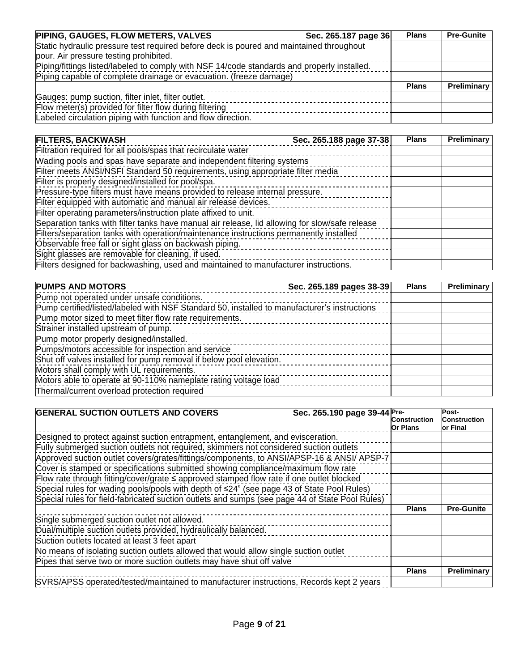| PIPING, GAUGES, FLOW METERS, VALVES                                                         | Sec. 265.187 page 36 | <b>Plans</b> | <b>Pre-Gunite</b> |
|---------------------------------------------------------------------------------------------|----------------------|--------------|-------------------|
| Static hydraulic pressure test required before deck is poured and maintained throughout     |                      |              |                   |
| pour. Air pressure testing prohibited.                                                      |                      |              |                   |
| Piping/fittings listed/labeled to comply with NSF 14/code standards and properly installed. |                      |              |                   |
| Piping capable of complete drainage or evacuation. (freeze damage)                          |                      |              |                   |
|                                                                                             |                      | <b>Plans</b> | Preliminary       |
| Gauges: pump suction, filter inlet, filter outlet.                                          |                      |              |                   |
| Flow meter(s) provided for filter flow during filtering                                     |                      |              |                   |
| Labeled circulation piping with function and flow direction.                                |                      |              |                   |

| <b>FILTERS, BACKWASH</b>                                                                       | Sec. 265.188 page 37-38 | <b>Plans</b> | Preliminary |
|------------------------------------------------------------------------------------------------|-------------------------|--------------|-------------|
| Filtration required for all pools/spas that recirculate water                                  |                         |              |             |
| Wading pools and spas have separate and independent filtering systems                          |                         |              |             |
| Filter meets ANSI/NSFI Standard 50 requirements, using appropriate filter media                |                         |              |             |
| Filter is properly designed/installed for pool/spa.                                            |                         |              |             |
| Pressure-type filters must have means provided to release internal pressure.                   |                         |              |             |
| Filter equipped with automatic and manual air release devices.                                 |                         |              |             |
| Filter operating parameters/instruction plate affixed to unit.                                 |                         |              |             |
| Separation tanks with filter tanks have manual air release, lid allowing for slow/safe release |                         |              |             |
| Filters/separation tanks with operation/maintenance instructions permanently installed         |                         |              |             |
| Observable free fall or sight glass on backwash piping.                                        |                         |              |             |
| Sight glasses are removable for cleaning, if used.                                             |                         |              |             |
| Filters designed for backwashing, used and maintained to manufacturer instructions.            |                         |              |             |

| <b>PUMPS AND MOTORS</b>                                                                      | Sec. 265.189 pages 38-39 | <b>Plans</b> | Preliminary |
|----------------------------------------------------------------------------------------------|--------------------------|--------------|-------------|
| Pump not operated under unsafe conditions.                                                   |                          |              |             |
| Pump certified/listed/labeled with NSF Standard 50, installed to manufacturer's instructions |                          |              |             |
| Pump motor sized to meet filter flow rate requirements.                                      |                          |              |             |
| Strainer installed upstream of pump.                                                         |                          |              |             |
| Pump motor properly designed/installed.                                                      |                          |              |             |
| Pumps/motors accessible for inspection and service                                           |                          |              |             |
| Shut off valves installed for pump removal if below pool elevation.                          |                          |              |             |
| Motors shall comply with UL requirements.                                                    |                          |              |             |
| Motors able to operate at 90-110% nameplate rating voltage load                              |                          |              |             |
| Thermal/current overload protection required                                                 |                          |              |             |

| <b>GENERAL SUCTION OUTLETS AND COVERS</b><br>Sec. 265.190 page 39-44 Pre-                      | <b>Construction</b><br>Or Plans | Post-<br>Construction<br>lor Final |
|------------------------------------------------------------------------------------------------|---------------------------------|------------------------------------|
| Designed to protect against suction entrapment, entanglement, and evisceration.                |                                 |                                    |
| Fully submerged suction outlets not required, skimmers not considered suction outlets          |                                 |                                    |
| Approved suction outlet covers/grates/fittings/components, to ANSI/APSP-16 & ANSI/ APSP-7      |                                 |                                    |
| Cover is stamped or specifications submitted showing compliance/maximum flow rate              |                                 |                                    |
| Flow rate through fitting/cover/grate ≤ approved stamped flow rate if one outlet blocked       |                                 |                                    |
| Special rules for wading pools/pools with depth of ≤24" (see page 43 of State Pool Rules)      |                                 |                                    |
| Special rules for field-fabricated suction outlets and sumps (see page 44 of State Pool Rules) |                                 |                                    |
|                                                                                                | <b>Plans</b>                    | <b>Pre-Gunite</b>                  |
| Single submerged suction outlet not allowed.                                                   |                                 |                                    |
| Dual/multiple suction outlets provided, hydraulically balanced.                                |                                 |                                    |
| Suction outlets located at least 3 feet apart                                                  |                                 |                                    |
| No means of isolating suction outlets allowed that would allow single suction outlet           |                                 |                                    |
| Pipes that serve two or more suction outlets may have shut off valve                           |                                 |                                    |
|                                                                                                | <b>Plans</b>                    | Preliminary                        |
| SVRS/APSS operated/tested/maintained to manufacturer instructions, Records kept 2 years        |                                 |                                    |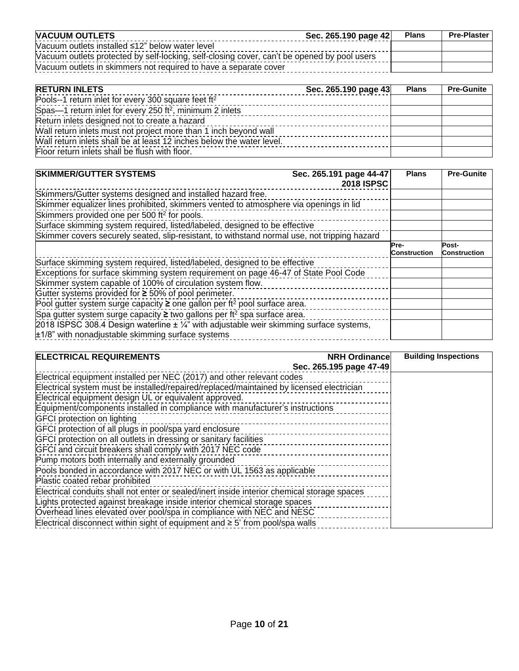| <b>NACUUM OUTLETS</b>                                                                       | Sec. 265.190 page 42 | <b>Plans</b> | <b>Pre-Plaster</b> |
|---------------------------------------------------------------------------------------------|----------------------|--------------|--------------------|
| Vacuum outlets installed ≤12" below water level                                             |                      |              |                    |
| Vacuum outlets protected by self-locking, self-closing cover, can't be opened by pool users |                      |              |                    |
| Vacuum outlets in skimmers not required to have a separate cover                            |                      |              |                    |

| <b>RETURN INLETS</b>                                                  | Sec. 265.190 page 43 | <b>Plans</b> | <b>Pre-Gunite</b> |
|-----------------------------------------------------------------------|----------------------|--------------|-------------------|
| Pools--1 return inlet for every 300 square feet ft <sup>2</sup>       |                      |              |                   |
| Spas-1 return inlet for every 250 ft <sup>2</sup> , minimum 2 inlets  |                      |              |                   |
| Return inlets designed not to create a hazard                         |                      |              |                   |
| Wall return inlets must not project more than 1 inch beyond wall      |                      |              |                   |
| Wall return inlets shall be at least 12 inches below the water level. |                      |              |                   |
| Floor return inlets shall be flush with floor.                        |                      |              |                   |

| <b>SKIMMER/GUTTER SYSTEMS</b>                                                                      | Sec. 265.191 page 44-47<br><b>2018 ISPSC</b> | <b>Plans</b>                | <b>Pre-Gunite</b>            |
|----------------------------------------------------------------------------------------------------|----------------------------------------------|-----------------------------|------------------------------|
| Skimmers/Gutter systems designed and installed hazard free.                                        |                                              |                             |                              |
| Skimmer equalizer lines prohibited, skimmers vented to atmosphere via openings in lid              |                                              |                             |                              |
| Skimmers provided one per 500 ft <sup>2</sup> for pools.                                           |                                              |                             |                              |
| Surface skimming system required, listed/labeled, designed to be effective                         |                                              |                             |                              |
| Skimmer covers securely seated, slip-resistant, to withstand normal use, not tripping hazard       |                                              |                             |                              |
|                                                                                                    |                                              | Pre-<br><b>Construction</b> | Post-<br><b>Construction</b> |
| Surface skimming system required, listed/labeled, designed to be effective                         |                                              |                             |                              |
| Exceptions for surface skimming system requirement on page 46-47 of State Pool Code                |                                              |                             |                              |
| Skimmer system capable of 100% of circulation system flow.                                         |                                              |                             |                              |
| Gutter systems provided for ≥ 50% of pool perimeter.                                               |                                              |                             |                              |
| Pool gutter system surge capacity $\geq$ one gallon per ft <sup>2</sup> pool surface area.         |                                              |                             |                              |
| Spa gutter system surge capacity $\geq$ two gallons per ft <sup>2</sup> spa surface area.          |                                              |                             |                              |
| 2018 ISPSC 308.4 Design waterline $\pm \frac{1}{4}$ with adjustable weir skimming surface systems, |                                              |                             |                              |
| $±1/8"$ with nonadjustable skimming surface systems                                                |                                              |                             |                              |

| <b>ELECTRICAL REQUIREMENTS</b>                                                              | <b>NRH Ordinancel</b>   | <b>Building Inspections</b> |
|---------------------------------------------------------------------------------------------|-------------------------|-----------------------------|
|                                                                                             | Sec. 265.195 page 47-49 |                             |
| Electrical equipment installed per NEC (2017) and other relevant codes                      |                         |                             |
| Electrical system must be installed/repaired/replaced/maintained by licensed electrician    |                         |                             |
| Electrical equipment design UL or equivalent approved.                                      |                         |                             |
| Equipment/components installed in compliance with manufacturer's instructions               |                         |                             |
| GFCI protection on lighting                                                                 |                         |                             |
| GFCI protection of all plugs in pool/spa yard enclosure                                     |                         |                             |
| GFCI protection on all outlets in dressing or sanitary facilities                           |                         |                             |
| GFCI and circuit breakers shall comply with 2017 NEC code                                   |                         |                             |
| Pump motors both internally and externally grounded                                         |                         |                             |
| Pools bonded in accordance with 2017 NEC or with UL 1563 as applicable                      |                         |                             |
| Plastic coated rebar prohibited                                                             |                         |                             |
| Electrical conduits shall not enter or sealed/inert inside interior chemical storage spaces |                         |                             |
| Lights protected against breakage inside interior chemical storage spaces                   |                         |                             |
| Overhead lines elevated over pool/spa in compliance with NEC and NESC                       |                         |                             |
| Electrical disconnect within sight of equipment and $\geq$ 5' from pool/spa walls           |                         |                             |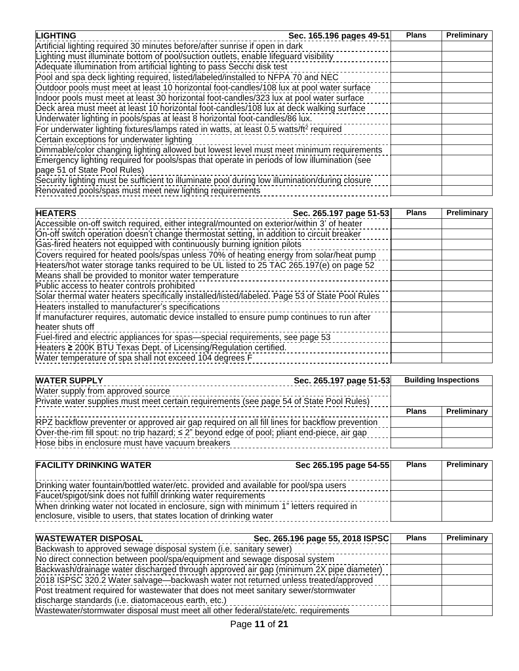| <b>LIGHTING</b><br>Sec. 165.196 pages 49-51                                                        | <b>Plans</b> | Preliminary |
|----------------------------------------------------------------------------------------------------|--------------|-------------|
| Artificial lighting required 30 minutes before/after sunrise if open in dark                       |              |             |
| Lighting must illuminate bottom of pool/suction outlets, enable lifeguard visibility               |              |             |
| Adequate illumination from artificial lighting to pass Secchi disk test                            |              |             |
| Pool and spa deck lighting required, listed/labeled/installed to NFPA 70 and NEC                   |              |             |
| Outdoor pools must meet at least 10 horizontal foot-candles/108 lux at pool water surface          |              |             |
| Indoor pools must meet at least 30 horizontal foot-candles/323 lux at pool water surface           |              |             |
| Deck area must meet at least 10 horizontal foot-candles/108 lux at deck walking surface            |              |             |
| Underwater lighting in pools/spas at least 8 horizontal foot-candles/86 lux.                       |              |             |
| For underwater lighting fixtures/lamps rated in watts, at least 0.5 watts/ft <sup>2</sup> required |              |             |
| Certain exceptions for underwater lighting                                                         |              |             |
| Dimmable/color changing lighting allowed but lowest level must meet minimum requirements           |              |             |
| Emergency lighting required for pools/spas that operate in periods of low illumination (see        |              |             |
| page 51 of State Pool Rules)                                                                       |              |             |
| Security lighting must be sufficient to illuminate pool during low illumination/during closure     |              |             |
| Renovated pools/spas must meet new lighting requirements                                           |              |             |

| <b>HEATERS</b><br>Sec. 265.197 page 51-53                                                      | <b>Plans</b> | Preliminary |
|------------------------------------------------------------------------------------------------|--------------|-------------|
| Accessible on-off switch required, either integral/mounted on exterior/within 3' of heater     |              |             |
| On-off switch operation doesn't change thermostat setting, in addition to circuit breaker      |              |             |
| Gas-fired heaters not equipped with continuously burning ignition pilots                       |              |             |
| Covers required for heated pools/spas unless 70% of heating energy from solar/heat pump        |              |             |
| Heaters/hot water storage tanks required to be UL listed to 25 TAC 265.197(e) on page 52       |              |             |
| Means shall be provided to monitor water temperature                                           |              |             |
| Public access to heater controls prohibited                                                    |              |             |
| Solar thermal water heaters specifically installed/listed/labeled. Page 53 of State Pool Rules |              |             |
| Heaters installed to manufacturer's specifications                                             |              |             |
| If manufacturer requires, automatic device installed to ensure pump continues to run after     |              |             |
| heater shuts off                                                                               |              |             |
| Fuel-fired and electric appliances for spas-special requirements, see page 53                  |              |             |
| Heaters 2 200K BTU Texas Dept. of Licensing/Regulation certified.                              |              |             |
| Water temperature of spa shall not exceed 104 degrees F                                        |              |             |

| <b>WATER SUPPLY</b>                                                                               | Sec. 265.197 page 51-53 |              | <b>Building Inspections</b> |
|---------------------------------------------------------------------------------------------------|-------------------------|--------------|-----------------------------|
| Water supply from approved source                                                                 |                         |              |                             |
| Private water supplies must meet certain requirements (see page 54 of State Pool Rules)           |                         |              |                             |
|                                                                                                   |                         | <b>Plans</b> | <b>Preliminary</b>          |
| RPZ backflow preventer or approved air gap required on all fill lines for backflow prevention     |                         |              |                             |
| Over-the-rim fill spout: no trip hazard; $\leq$ 2" beyond edge of pool; pliant end-piece, air gap |                         |              |                             |
| Hose bibs in enclosure must have vacuum breakers                                                  |                         |              |                             |

| <b>FACILITY DRINKING WATER</b>                                                         | Sec 265.195 page 54-55 | <b>Plans</b> | <b>Preliminary</b> |
|----------------------------------------------------------------------------------------|------------------------|--------------|--------------------|
| Drinking water fountain/bottled water/etc. provided and available for pool/spa users   |                        |              |                    |
| Faucet/spigot/sink does not fulfill drinking water requirements                        |                        |              |                    |
| When drinking water not located in enclosure, sign with minimum 1" letters required in |                        |              |                    |
| enclosure, visible to users, that states location of drinking water                    |                        |              |                    |

| <b>WASTEWATER DISPOSAL</b>                                                             | Sec. 265.196 page 55, 2018 ISPSC | <b>Plans</b> | Preliminary |
|----------------------------------------------------------------------------------------|----------------------------------|--------------|-------------|
| Backwash to approved sewage disposal system (i.e. sanitary sewer)                      |                                  |              |             |
| No direct connection between pool/spa/equipment and sewage disposal system             |                                  |              |             |
| Backwash/drainage water discharged through approved air gap (minimum 2X pipe diameter) |                                  |              |             |
| 2018 ISPSC 320.2 Water salvage—backwash water not returned unless treated/approved     |                                  |              |             |
| Post treatment required for wastewater that does not meet sanitary sewer/stormwater    |                                  |              |             |
| discharge standards (i.e. diatomaceous earth, etc.)                                    |                                  |              |             |
| Wastewater/stormwater disposal must meet all other federal/state/etc. requirements     |                                  |              |             |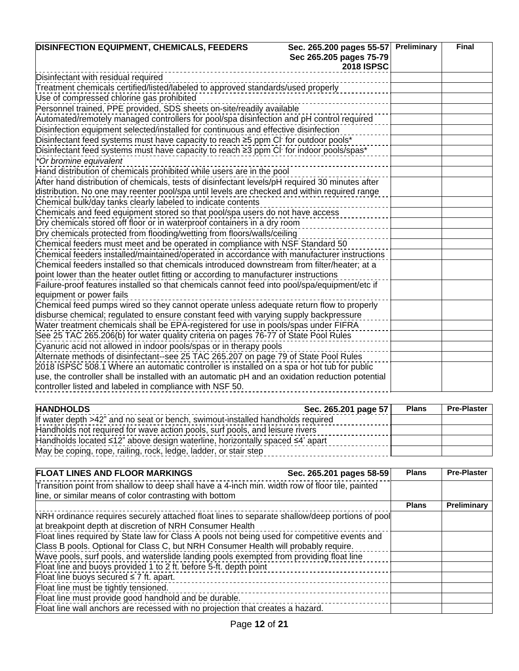| <b>DISINFECTION EQUIPMENT, CHEMICALS, FEEDERS</b>                                                | Sec. 265.200 pages 55-57 | Preliminary | <b>Final</b> |
|--------------------------------------------------------------------------------------------------|--------------------------|-------------|--------------|
|                                                                                                  | Sec 265.205 pages 75-79  |             |              |
|                                                                                                  | <b>2018 ISPSC</b>        |             |              |
| Disinfectant with residual required                                                              |                          |             |              |
| Treatment chemicals certified/listed/labeled to approved standards/used properly                 |                          |             |              |
| Use of compressed chlorine gas prohibited                                                        |                          |             |              |
| Personnel trained, PPE provided, SDS sheets on-site/readily available                            |                          |             |              |
| Automated/remotely managed controllers for pool/spa disinfection and pH control required         |                          |             |              |
| Disinfection equipment selected/installed for continuous and effective disinfection              |                          |             |              |
| Disinfectant feed systems must have capacity to reach ≥5 ppm Cl for outdoor pools*               |                          |             |              |
| Disinfectant feed systems must have capacity to reach ≥3 ppm CI for indoor pools/spas*           |                          |             |              |
| *Or bromine equivalent                                                                           |                          |             |              |
| Hand distribution of chemicals prohibited while users are in the pool                            |                          |             |              |
| After hand distribution of chemicals, tests of disinfectant levels/pH required 30 minutes after  |                          |             |              |
| distribution. No one may reenter pool/spa until levels are checked and within required range     |                          |             |              |
| Chemical bulk/day tanks clearly labeled to indicate contents                                     |                          |             |              |
| Chemicals and feed equipment stored so that pool/spa users do not have access                    |                          |             |              |
| Dry chemicals stored off floor or in waterproof containers in a dry room                         |                          |             |              |
| Dry chemicals protected from flooding/wetting from floors/walls/ceiling                          |                          |             |              |
| Chemical feeders must meet and be operated in compliance with NSF Standard 50                    |                          |             |              |
| Chemical feeders installed/maintained/operated in accordance with manufacturer instructions      |                          |             |              |
| Chemical feeders installed so that chemicals introduced downstream from filter/heater; at a      |                          |             |              |
| point lower than the heater outlet fitting or according to manufacturer instructions             |                          |             |              |
| Failure-proof features installed so that chemicals cannot feed into pool/spa/equipment/etc if    |                          |             |              |
| equipment or power fails                                                                         |                          |             |              |
| Chemical feed pumps wired so they cannot operate unless adequate return flow to properly         |                          |             |              |
| disburse chemical; regulated to ensure constant feed with varying supply backpressure            |                          |             |              |
| Water treatment chemicals shall be EPA-registered for use in pools/spas under FIFRA              |                          |             |              |
| See 25 TAC 265.206(b) for water quality criteria on pages 76-77 of State Pool Rules              |                          |             |              |
| Cyanuric acid not allowed in indoor pools/spas or in therapy pools                               |                          |             |              |
| Alternate methods of disinfectant--see 25 TAC 265.207 on page 79 of State Pool Rules             |                          |             |              |
| 2018 ISPSC 508.1 Where an automatic controller is installed on a spa or hot tub for public       |                          |             |              |
| use, the controller shall be installed with an automatic pH and an oxidation reduction potential |                          |             |              |
| controller listed and labeled in compliance with NSF 50.                                         |                          |             |              |

| <b>HANDHOLDS</b>                                                                           | Sec. 265.201 page 57 | <b>Plans</b> | <b>Pre-Plaster</b> |
|--------------------------------------------------------------------------------------------|----------------------|--------------|--------------------|
| If water depth >42" and no seat or bench, swimout-installed handholds required             |                      |              |                    |
| Handholds not required for wave action pools, surf pools, and leisure rivers               |                      |              |                    |
| Handholds located $\leq 12$ " above design waterline, horizontally spaced $\leq 4$ ' apart |                      |              |                    |
| May be coping, rope, railing, rock, ledge, ladder, or stair step                           |                      |              |                    |

| <b>FLOAT LINES AND FLOOR MARKINGS</b>                                                           | Sec. 265.201 pages 58-59 | <b>Plans</b> | <b>Pre-Plaster</b> |
|-------------------------------------------------------------------------------------------------|--------------------------|--------------|--------------------|
| Transition point from shallow to deep shall have a 4-inch min. width row of floor tile, painted |                          |              |                    |
| line, or similar means of color contrasting with bottom                                         |                          |              |                    |
|                                                                                                 |                          | <b>Plans</b> | Preliminary        |
| NRH ordinance requires securely attached float lines to separate shallow/deep portions of pool  |                          |              |                    |
| at breakpoint depth at discretion of NRH Consumer Health                                        |                          |              |                    |
| Float lines required by State law for Class A pools not being used for competitive events and   |                          |              |                    |
| Class B pools. Optional for Class C, but NRH Consumer Health will probably require.             |                          |              |                    |
| Wave pools, surf pools, and waterslide landing pools exempted from providing float line         |                          |              |                    |
| Float line and buoys provided 1 to 2 ft. before 5-ft. depth point                               |                          |              |                    |
| Float line buoys secured $\leq 7$ ft. apart.                                                    |                          |              |                    |
| Float line must be tightly tensioned.                                                           |                          |              |                    |
| Float line must provide good handhold and be durable.                                           |                          |              |                    |
| Float line wall anchors are recessed with no projection that creates a hazard.                  |                          |              |                    |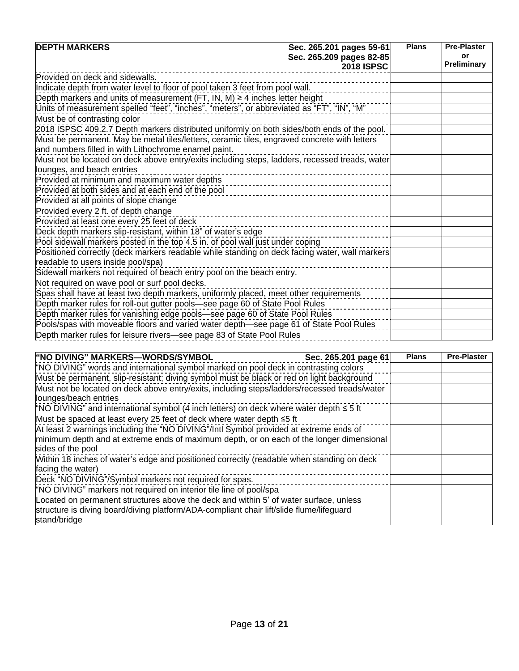| <b>DEPTH MARKERS</b>                                                                           | Sec. 265.201 pages 59-61                      | <b>Plans</b> | <b>Pre-Plaster</b>       |
|------------------------------------------------------------------------------------------------|-----------------------------------------------|--------------|--------------------------|
|                                                                                                | Sec. 265.209 pages 82-85<br><b>2018 ISPSC</b> |              | or<br><b>Preliminary</b> |
| Provided on deck and sidewalls.                                                                |                                               |              |                          |
| Indicate depth from water level to floor of pool taken 3 feet from pool wall.                  |                                               |              |                          |
| Depth markers and units of measurement (FT, IN, M) $\geq$ 4 inches letter height               |                                               |              |                          |
| Units of measurement spelled "feet", "inches", "meters", or abbreviated as "FT", "IN", "M"     |                                               |              |                          |
| Must be of contrasting color                                                                   |                                               |              |                          |
| 2018 ISPSC 409.2.7 Depth markers distributed uniformly on both sides/both ends of the pool.    |                                               |              |                          |
| Must be permanent. May be metal tiles/letters, ceramic tiles, engraved concrete with letters   |                                               |              |                          |
| and numbers filled in with Lithochrome enamel paint.                                           |                                               |              |                          |
| Must not be located on deck above entry/exits including steps, ladders, recessed treads, water |                                               |              |                          |
| lounges, and beach entries                                                                     |                                               |              |                          |
| Provided at minimum and maximum water depths                                                   |                                               |              |                          |
| Provided at both sides and at each end of the pool                                             |                                               |              |                          |
| Provided at all points of slope change                                                         |                                               |              |                          |
| Provided every 2 ft. of depth change                                                           |                                               |              |                          |
| Provided at least one every 25 feet of deck                                                    |                                               |              |                          |
| Deck depth markers slip-resistant, within 18" of water's edge                                  |                                               |              |                          |
| Pool sidewall markers posted in the top 4.5 in. of pool wall just under coping                 |                                               |              |                          |
| Positioned correctly (deck markers readable while standing on deck facing water, wall markers  |                                               |              |                          |
| readable to users inside pool/spa)                                                             |                                               |              |                          |
| Sidewall markers not required of beach entry pool on the beach entry.                          |                                               |              |                          |
| Not required on wave pool or surf pool decks.                                                  |                                               |              |                          |
| Spas shall have at least two depth markers, uniformly placed, meet other requirements          |                                               |              |                          |
| Depth marker rules for roll-out gutter pools-see page 60 of State Pool Rules                   |                                               |              |                          |
| Depth marker rules for vanishing edge pools-see page 60 of State Pool Rules                    |                                               |              |                          |
| Pools/spas with moveable floors and varied water depth-see page 61 of State Pool Rules         |                                               |              |                          |
| Depth marker rules for leisure rivers-see page 83 of State Pool Rules                          |                                               |              |                          |

| "NO DIVING" MARKERS—WORDS/SYMBOL                                                             | Sec. 265.201 page 61 | <b>Plans</b> | <b>Pre-Plaster</b> |
|----------------------------------------------------------------------------------------------|----------------------|--------------|--------------------|
| "NO DIVING" words and international symbol marked on pool deck in contrasting colors         |                      |              |                    |
| Must be permanent, slip-resistant; diving symbol must be black or red on light background    |                      |              |                    |
| Must not be located on deck above entry/exits, including steps/ladders/recessed treads/water |                      |              |                    |
| lounges/beach entries                                                                        |                      |              |                    |
| "NO DIVING" and international symbol (4 inch letters) on deck where water depth $\leq 5$ ft  |                      |              |                    |
| Must be spaced at least every 25 feet of deck where water depth ≤5 ft                        |                      |              |                    |
| At least 2 warnings including the "NO DIVING"/Intl Symbol provided at extreme ends of        |                      |              |                    |
| minimum depth and at extreme ends of maximum depth, or on each of the longer dimensional     |                      |              |                    |
| sides of the pool                                                                            |                      |              |                    |
| Within 18 inches of water's edge and positioned correctly (readable when standing on deck    |                      |              |                    |
| facing the water)                                                                            |                      |              |                    |
| Deck "NO DIVING"/Symbol markers not required for spas.                                       |                      |              |                    |
| "NO DIVING" markers not required on interior tile line of pool/spa                           |                      |              |                    |
| Located on permanent structures above the deck and within 5' of water surface, unless        |                      |              |                    |
| structure is diving board/diving platform/ADA-compliant chair lift/slide flume/lifeguard     |                      |              |                    |
| stand/bridge                                                                                 |                      |              |                    |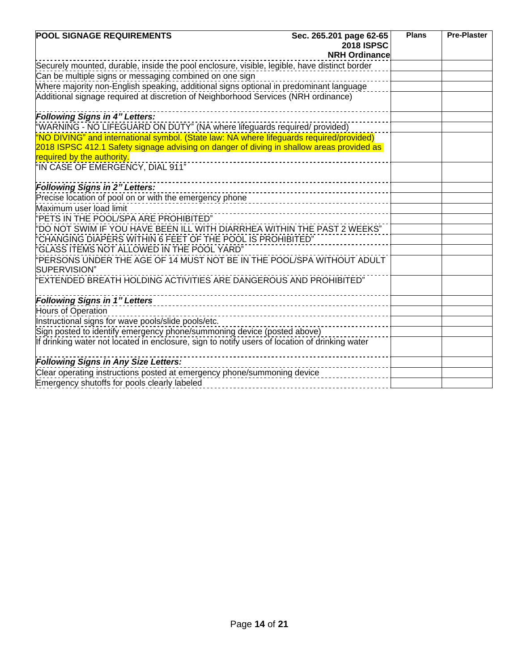| <b>POOL SIGNAGE REQUIREMENTS</b>                                                               | Sec. 265.201 page 62-65 | <b>Plans</b> | <b>Pre-Plaster</b> |
|------------------------------------------------------------------------------------------------|-------------------------|--------------|--------------------|
|                                                                                                | <b>2018 ISPSC</b>       |              |                    |
|                                                                                                | <b>NRH Ordinance</b>    |              |                    |
| Securely mounted, durable, inside the pool enclosure, visible, legible, have distinct border   |                         |              |                    |
| Can be multiple signs or messaging combined on one sign                                        |                         |              |                    |
| Mhere majority non-English speaking, additional signs optional in predominant language         |                         |              |                    |
| Additional signage required at discretion of Neighborhood Services (NRH ordinance)             |                         |              |                    |
|                                                                                                |                         |              |                    |
| <b>Following Signs in 4" Letters:</b>                                                          |                         |              |                    |
| "WARNING - NO LIFEGUARD ON DUTY" (NA where lifeguards required/ provided)                      |                         |              |                    |
| "NO DIVING" and international symbol. (State law: NA where lifeguards required/provided)       |                         |              |                    |
| 2018 ISPSC 412.1 Safety signage advising on danger of diving in shallow areas provided as      |                         |              |                    |
| required by the authority.                                                                     |                         |              |                    |
| "IN CASE OF EMERGENCY, DIAL 911"                                                               |                         |              |                    |
|                                                                                                |                         |              |                    |
| <b>Following Signs in 2" Letters:</b>                                                          |                         |              |                    |
| Precise location of pool on or with the emergency phone                                        |                         |              |                    |
| Maximum user load limit                                                                        |                         |              |                    |
| "PETS IN THE POOL/SPA ARE PROHIBITED"                                                          |                         |              |                    |
| "DO NOT SWIM IF YOU HAVE BEEN ILL WITH DIARRHEA WITHIN THE PAST 2 WEEKS"                       |                         |              |                    |
| "CHANGING DIAPERS WITHIN 6 FEET OF THE POOL IS PROHIBITED"                                     |                         |              |                    |
| "GLASS ITEMS NOT ALLOWED IN THE POOL YARD"                                                     |                         |              |                    |
| PERSONS UNDER THE AGE OF 14 MUST NOT BE IN THE POOL/SPA WITHOUT ADULT                          |                         |              |                    |
| SUPERVISION"                                                                                   |                         |              |                    |
| EXTENDED BREATH HOLDING ACTIVITIES ARE DANGEROUS AND PROHIBITED"                               |                         |              |                    |
|                                                                                                |                         |              |                    |
| <b>Following Signs in 1" Letters</b>                                                           |                         |              |                    |
| <b>Hours of Operation</b>                                                                      |                         |              |                    |
| Instructional signs for wave pools/slide pools/etc.                                            |                         |              |                    |
| Sign posted to identify emergency phone/summoning device (posted above)                        |                         |              |                    |
| If drinking water not located in enclosure, sign to notify users of location of drinking water |                         |              |                    |
| <b>Following Signs in Any Size Letters:</b>                                                    |                         |              |                    |
| Clear operating instructions posted at emergency phone/summoning device                        |                         |              |                    |
| Emergency shutoffs for pools clearly labeled                                                   |                         |              |                    |
|                                                                                                |                         |              |                    |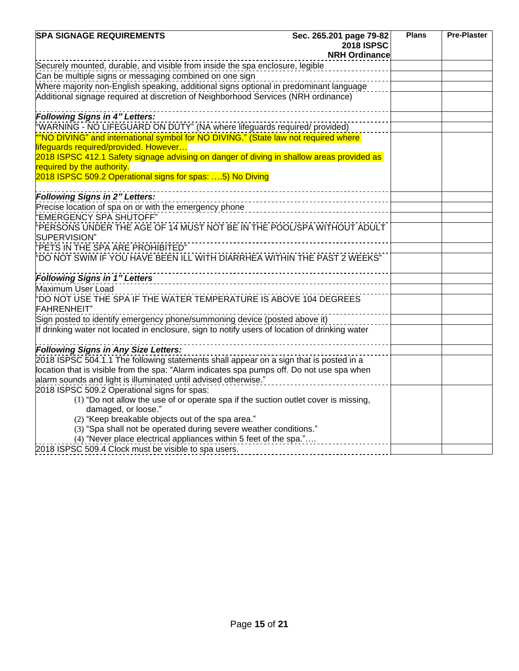| <b>SPA SIGNAGE REQUIREMENTS</b>                                                                                                                                              | Sec. 265.201 page 79-82            | <b>Plans</b> | <b>Pre-Plaster</b> |
|------------------------------------------------------------------------------------------------------------------------------------------------------------------------------|------------------------------------|--------------|--------------------|
|                                                                                                                                                                              | <b>2018 ISPSC</b>                  |              |                    |
| Securely mounted, durable, and visible from inside the spa enclosure, legible                                                                                                | <b>NRH Ordinance</b>               |              |                    |
| Can be multiple signs or messaging combined on one sign                                                                                                                      |                                    |              |                    |
|                                                                                                                                                                              |                                    |              |                    |
| Where majority non-English speaking, additional signs optional in predominant language<br>Additional signage required at discretion of Neighborhood Services (NRH ordinance) |                                    |              |                    |
|                                                                                                                                                                              |                                    |              |                    |
| <b>Following Signs in 4" Letters:</b>                                                                                                                                        |                                    |              |                    |
| "WARNING - NO LIFEGUARD ON DUTY" (NA where lifeguards required/ provided)                                                                                                    |                                    |              |                    |
| "NO DIVING" and international symbol for NO DIVING." (State law not required where                                                                                           |                                    |              |                    |
| lifeguards required/provided. However                                                                                                                                        |                                    |              |                    |
| 2018 ISPSC 412.1 Safety signage advising on danger of diving in shallow areas provided as                                                                                    |                                    |              |                    |
| required by the authority.<br>2018 ISPSC 509.2 Operational signs for spas: 5) No Diving                                                                                      |                                    |              |                    |
|                                                                                                                                                                              |                                    |              |                    |
| _______________<br><b>Following Signs in 2" Letters:</b>                                                                                                                     | ---------------------------------- |              |                    |
| precise location of spa on or with the emergency phone<br>Precise location of spa on or with the emergency phone                                                             |                                    |              |                    |
| "EMERGENCY SPA SHUTOFF"                                                                                                                                                      |                                    |              |                    |
| PERSONS UNDER THE AGE OF 14 MUST NOT BE IN THE POOL/SPA WITHOUT ADULT                                                                                                        |                                    |              |                    |
| SUPERVISION"                                                                                                                                                                 |                                    |              |                    |
| "PETS IN THE SPA ARE PROHIBITED"                                                                                                                                             |                                    |              |                    |
| "DO NOT SWIM IF YOU HAVE BEEN ILL WITH DIARRHEA WITHIN THE PAST 2 WEEKS"                                                                                                     |                                    |              |                    |
|                                                                                                                                                                              |                                    |              |                    |
| <b>Following Signs in 1" Letters</b>                                                                                                                                         |                                    |              |                    |
| Maximum User Load                                                                                                                                                            |                                    |              |                    |
| FOO NOT USE THE SPA IF THE WATER TEMPERATURE IS ABOVE 104 DEGREES                                                                                                            |                                    |              |                    |
| <b>FAHRENHEIT</b> "                                                                                                                                                          |                                    |              |                    |
| Sign posted to identify emergency phone/summoning device (posted above it)                                                                                                   |                                    |              |                    |
| If drinking water not located in enclosure, sign to notify users of location of drinking water                                                                               |                                    |              |                    |
| <b>Following Signs in Any Size Letters:</b>                                                                                                                                  |                                    |              |                    |
| 2018 ISPSC 504.1.1 The following statements shall appear on a sign that is posted in a                                                                                       |                                    |              |                    |
| location that is visible from the spa: "Alarm indicates spa pumps off. Do not use spa when                                                                                   |                                    |              |                    |
| alarm sounds and light is illuminated until advised otherwise."                                                                                                              |                                    |              |                    |
| 2018 ISPSC 509.2 Operational signs for spas:                                                                                                                                 |                                    |              |                    |
| (1) "Do not allow the use of or operate spa if the suction outlet cover is missing,                                                                                          |                                    |              |                    |
| damaged, or loose."                                                                                                                                                          |                                    |              |                    |
| (2) "Keep breakable objects out of the spa area."                                                                                                                            |                                    |              |                    |
| (3) "Spa shall not be operated during severe weather conditions."                                                                                                            |                                    |              |                    |
| (4) "Never place electrical appliances within 5 feet of the spa."                                                                                                            |                                    |              |                    |
| 2018 ISPSC 509.4 Clock must be visible to spa users.                                                                                                                         |                                    |              |                    |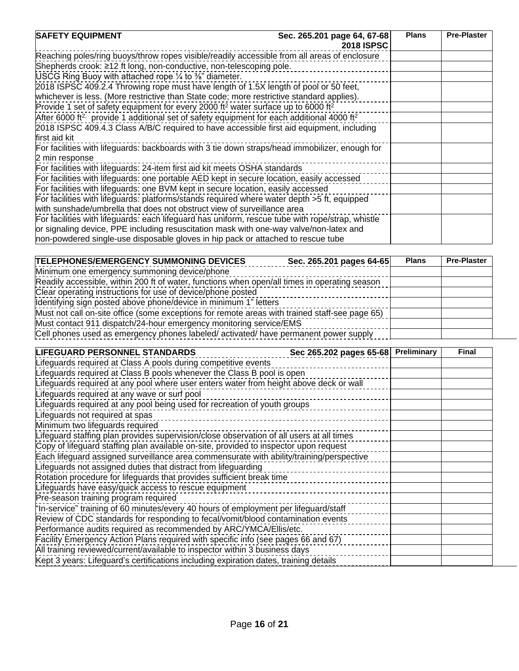| <b>SAFETY EQUIPMENT</b>                                                                                           | Sec. 265.201 page 64, 67-68<br><b>2018 ISPSC</b> | <b>Plans</b> | <b>Pre-Plaster</b> |
|-------------------------------------------------------------------------------------------------------------------|--------------------------------------------------|--------------|--------------------|
| Reaching poles/ring buoys/throw ropes visible/readily accessible from all areas of enclosure                      |                                                  |              |                    |
| Shepherds crook: ≥12 ft long, non-conductive, non-telescoping pole.                                               |                                                  |              |                    |
| USCG Ring Buoy with attached rope $\frac{1}{4}$ to $\frac{3}{8}$ " diameter.                                      |                                                  |              |                    |
| 2018 ISPSC 409.2.4 Throwing rope must have length of 1.5X length of pool or 50 feet,                              |                                                  |              |                    |
| whichever is less. (More restrictive than State code; more restrictive standard applies).                         |                                                  |              |                    |
| Provide 1 set of safety equipment for every 2000 ft <sup>2</sup> water surface up to 6000 ft <sup>2</sup>         |                                                  |              |                    |
| After 6000 ft <sup>2,</sup> provide 1 additional set of safety equipment for each additional 4000 ft <sup>2</sup> |                                                  |              |                    |
| 2018 ISPSC 409.4.3 Class A/B/C required to have accessible first aid equipment, including                         |                                                  |              |                    |
| first aid kit                                                                                                     |                                                  |              |                    |
| For facilities with lifeguards: backboards with 3 tie down straps/head immobilizer, enough for                    |                                                  |              |                    |
| 2 min response                                                                                                    |                                                  |              |                    |
| For facilities with lifeguards: 24-item first aid kit meets OSHA standards                                        |                                                  |              |                    |
| For facilities with lifeguards: one portable AED kept in secure location, easily accessed                         |                                                  |              |                    |
| For facilities with lifeguards: one BVM kept in secure location, easily accessed                                  |                                                  |              |                    |
| For facilities with lifeguards: platforms/stands required where water depth > 5 ft, equipped                      |                                                  |              |                    |
| with sunshade/umbrella that does not obstruct view of surveillance area                                           |                                                  |              |                    |
| For facilities with lifeguards: each lifeguard has uniform, rescue tube with rope/strap, whistle                  |                                                  |              |                    |
| or signaling device, PPE including resuscitation mask with one-way valve/non-latex and                            |                                                  |              |                    |
| non-powdered single-use disposable gloves in hip pack or attached to rescue tube                                  |                                                  |              |                    |

| <b>TELEPHONES/EMERGENCY SUMMONING DEVICES</b>                                                  | Sec. 265.201 pages 64-65 | <b>Plans</b> | <b>Pre-Plaster</b> |
|------------------------------------------------------------------------------------------------|--------------------------|--------------|--------------------|
| Minimum one emergency summoning device/phone                                                   |                          |              |                    |
| Readily accessible, within 200 ft of water, functions when open/all times in operating season  |                          |              |                    |
| Clear operating instructions for use of device/phone posted                                    |                          |              |                    |
| Identifying sign posted above phone/device in minimum 1" letters                               |                          |              |                    |
| Must not call on-site office (some exceptions for remote areas with trained staff-see page 65) |                          |              |                    |
| Must contact 911 dispatch/24-hour emergency monitoring service/EMS                             |                          |              |                    |
| Cell phones used as emergency phones labeled/ activated/ have permanent power supply           |                          |              |                    |

| <b>LIFEGUARD PERSONNEL STANDARDS</b>                                                     | Sec 265.202 pages 65-68 Preliminary | <b>Final</b> |
|------------------------------------------------------------------------------------------|-------------------------------------|--------------|
| Lifeguards required at Class A pools during competitive events                           |                                     |              |
| Lifeguards required at Class B pools whenever the Class B pool is open                   |                                     |              |
| Lifeguards required at any pool where user enters water from height above deck or wall   |                                     |              |
| Lifeguards required at any wave or surf pool                                             |                                     |              |
| Lifeguards required at any pool being used for recreation of youth groups                |                                     |              |
| Lifeguards not required at spas                                                          |                                     |              |
| Minimum two lifeguards required                                                          |                                     |              |
| Lifeguard staffing plan provides supervision/close observation of all users at all times |                                     |              |
| Copy of lifeguard staffing plan available on-site, provided to inspector upon request    |                                     |              |
| Each lifeguard assigned surveillance area commensurate with ability/training/perspective |                                     |              |
| Lifeguards not assigned duties that distract from lifeguarding                           |                                     |              |
| Rotation procedure for lifeguards that provides sufficient break time                    |                                     |              |
| Lifeguards have easy/quick access to rescue equipment                                    |                                     |              |
| Pre-season training program required                                                     |                                     |              |
| "In-service" training of 60 minutes/every 40 hours of employment per lifeguard/staff     |                                     |              |
| Review of CDC standards for responding to fecal/vomit/blood contamination events         |                                     |              |
| Performance audits required as recommended by ARC/YMCA/Ellis/etc.                        |                                     |              |
| Facility Emergency Action Plans required with specific info (see pages 66 and 67)        |                                     |              |
| All training reviewed/current/available to inspector within 3 business days              |                                     |              |
| Kept 3 years: Lifeguard's certifications including expiration dates, training details    |                                     |              |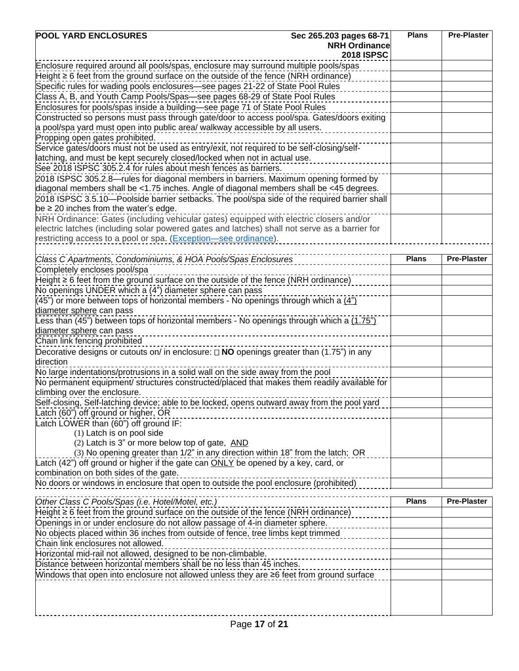| <b>POOL YARD ENCLOSURES</b>                                                                                                                                                | Sec 265.203 pages 68-71<br><b>NRH Ordinance</b><br><b>2018 ISPSC</b> | <b>Plans</b> | <b>Pre-Plaster</b> |
|----------------------------------------------------------------------------------------------------------------------------------------------------------------------------|----------------------------------------------------------------------|--------------|--------------------|
| Enclosure required around all pools/spas, enclosure may surround multiple pools/spas                                                                                       |                                                                      |              |                    |
| $Height \ge 6$ feet from the ground surface on the outside of the fence (NRH ordinance)                                                                                    |                                                                      |              |                    |
| Specific rules for wading pools enclosures-see pages 21-22 of State Pool Rules                                                                                             |                                                                      |              |                    |
| Class A, B, and Youth Camp Pools/Spas-see pages 68-29 of State Pool Rules                                                                                                  |                                                                      |              |                    |
| Enclosures for pools/spas inside a building-see page 71 of State Pool Rules                                                                                                |                                                                      |              |                    |
| Constructed so persons must pass through gate/door to access pool/spa. Gates/doors exiting<br>a pool/spa yard must open into public area/ walkway accessible by all users. |                                                                      |              |                    |
|                                                                                                                                                                            |                                                                      |              |                    |
| Propping open gates prohibited.<br>Service gates/doors must not be used as entry/exit, not required to be self-closing/self-                                               |                                                                      |              |                    |
| latching, and must be kept securely closed/locked when not in actual use.                                                                                                  |                                                                      |              |                    |
| See 2018 ISPSC 305.2.4 for rules about mesh fences as barriers.                                                                                                            |                                                                      |              |                    |
| 2018 ISPSC 305.2.8—rules for diagonal members in barriers. Maximum opening formed by                                                                                       |                                                                      |              |                    |
| diagonal members shall be <1.75 inches. Angle of diagonal members shall be <45 degrees.                                                                                    |                                                                      |              |                    |
| 2018 ISPSC 3.5.10-Poolside barrier setbacks. The pool/spa side of the required barrier shall                                                                               |                                                                      |              |                    |
| be $\geq$ 20 inches from the water's edge.                                                                                                                                 |                                                                      |              |                    |
| NRH Ordinance: Gates (including vehicular gates) equipped with electric closers and/or                                                                                     |                                                                      |              |                    |
| electric latches (including solar powered gates and latches) shall not serve as a barrier for                                                                              |                                                                      |              |                    |
| restricting access to a pool or spa. (Exception-see ordinance).                                                                                                            |                                                                      |              |                    |
|                                                                                                                                                                            |                                                                      | <b>Plans</b> | <b>Pre-Plaster</b> |
| Class C Apartments, Condominiums, & HOA Pools/Spas Enclosures                                                                                                              |                                                                      |              |                    |
| Completely encloses pool/spa                                                                                                                                               |                                                                      |              |                    |
| Height $\geq 6$ feet from the ground surface on the outside of the fence (NRH ordinance)<br>No openings UNDER which a (4") diameter sphere can pass                        |                                                                      |              |                    |
| $(45)$ or more between tops of horizontal members - No openings through which a $(4)$                                                                                      |                                                                      |              |                    |
| diameter sphere can pass                                                                                                                                                   |                                                                      |              |                    |
| Less than (45") between tops of horizontal members - No openings through which a $(1.75)$                                                                                  |                                                                      |              |                    |
| diameter sphere can pass                                                                                                                                                   |                                                                      |              |                    |
| Chain link fencing prohibited                                                                                                                                              |                                                                      |              |                    |
| Decorative designs or cutouts on/ in enclosure: $\Box$ NO openings greater than (1.75") in any                                                                             |                                                                      |              |                    |
| direction                                                                                                                                                                  |                                                                      |              |                    |
| No large indentations/protrusions in a solid wall on the side away from the pool                                                                                           |                                                                      |              |                    |
| No permanent equipment/ structures constructed/placed that makes them readily available for                                                                                |                                                                      |              |                    |
| climbing over the enclosure.                                                                                                                                               |                                                                      |              |                    |
| Self-closing, Self-latching device; able to be locked, opens outward away from the pool yard                                                                               |                                                                      |              |                    |
| Latch (60") off ground or higher, OR                                                                                                                                       |                                                                      |              |                    |
| Latch LOWER than (60") off ground IF:                                                                                                                                      |                                                                      |              |                    |
| (1) Latch is on pool side<br>(2) Latch is 3" or more below top of gate, AND                                                                                                |                                                                      |              |                    |
| (3) No opening greater than 1/2" in any direction within 18" from the latch; OR                                                                                            |                                                                      |              |                    |
| Latch (42") off ground or higher if the gate can ONLY be opened by a key, card, or                                                                                         |                                                                      |              |                    |
| combination on both sides of the gate.                                                                                                                                     |                                                                      |              |                    |
| No doors or windows in enclosure that open to outside the pool enclosure (prohibited)                                                                                      |                                                                      |              |                    |
|                                                                                                                                                                            |                                                                      |              |                    |
| Other Class C Pools/Spas (i.e. Hotel/Motel, etc.)                                                                                                                          |                                                                      | <b>Plans</b> | <b>Pre-Plaster</b> |
| Height $\geq 6$ feet from the ground surface on the outside of the fence (NRH ordinance)                                                                                   |                                                                      |              |                    |
| Openings in or under enclosure do not allow passage of 4-in diameter sphere.                                                                                               |                                                                      |              |                    |
| No objects placed within 36 inches from outside of fence, tree limbs kept trimmed                                                                                          |                                                                      |              |                    |
| Chain link enclosures not allowed.                                                                                                                                         |                                                                      |              |                    |
| Horizontal mid-rail not allowed, designed to be non-climbable.                                                                                                             |                                                                      |              |                    |
| Distance between horizontal members shall be no less than 45 inches.                                                                                                       |                                                                      |              |                    |
| Windows that open into enclosure not allowed unless they are ≥6 feet from ground surface                                                                                   |                                                                      |              |                    |
|                                                                                                                                                                            |                                                                      |              |                    |
|                                                                                                                                                                            |                                                                      |              |                    |
|                                                                                                                                                                            |                                                                      |              |                    |
|                                                                                                                                                                            |                                                                      |              |                    |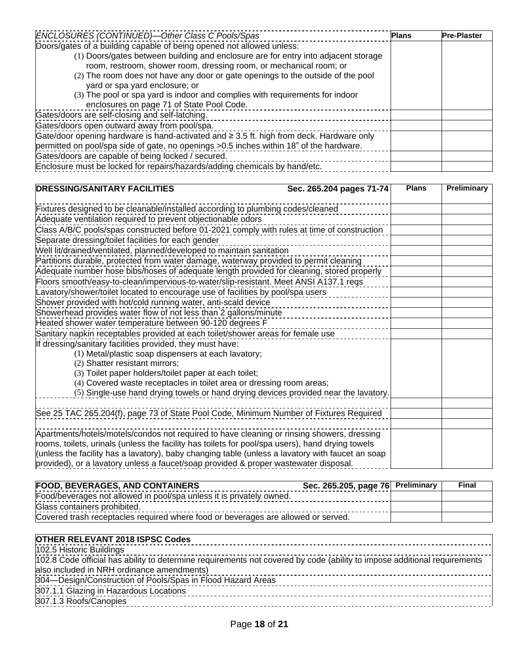| ENCLOSURES (CONTINUED)-Other Class C Pools/Spas                                               | <b>Plans</b> | <b>Pre-Plaster</b> |
|-----------------------------------------------------------------------------------------------|--------------|--------------------|
| Doors/gates of a building capable of being opened not allowed unless:                         |              |                    |
| (1) Doors/gates between building and enclosure are for entry into adjacent storage            |              |                    |
| room, restroom, shower room, dressing room, or mechanical room; or                            |              |                    |
| (2) The room does not have any door or gate openings to the outside of the pool               |              |                    |
| yard or spa yard enclosure; or                                                                |              |                    |
| (3) The pool or spa yard is indoor and complies with requirements for indoor                  |              |                    |
| enclosures on page 71 of State Pool Code.                                                     |              |                    |
| Gates/doors are self-closing and self-latching.                                               |              |                    |
| Gates/doors open outward away from pool/spa.                                                  |              |                    |
| Gate/door opening hardware is hand-activated and $\geq$ 3.5 ft. high from deck. Hardware only |              |                    |
| permitted on pool/spa side of gate, no openings > 0.5 inches within 18" of the hardware.      |              |                    |
| Gates/doors are capable of being locked / secured.                                            |              |                    |
| Enclosure must be locked for repairs/hazards/adding chemicals by hand/etc.                    |              |                    |

| <b>DRESSING/SANITARY FACILITIES</b>                                                              | Sec. 265.204 pages 71-74 | <b>Plans</b> | Preliminary |
|--------------------------------------------------------------------------------------------------|--------------------------|--------------|-------------|
| Fixtures designed to be cleanable/installed according to plumbing codes/cleaned                  |                          |              |             |
| Adequate ventilation required to prevent objectionable odors                                     |                          |              |             |
| Class A/B/C pools/spas constructed before 01-2021 comply with rules at time of construction      |                          |              |             |
| Separate dressing/toilet facilities for each gender                                              |                          |              |             |
| Well lit/drained/ventilated, planned/developed to maintain sanitation                            |                          |              |             |
| Partitions durable, protected from water damage, waterway provided to permit cleaning            |                          |              |             |
| Adequate number hose bibs/hoses of adequate length provided for cleaning, stored properly        |                          |              |             |
| Floors smooth/easy-to-clean/impervious-to-water/slip-resistant. Meet ANSI A137.1 reqs            |                          |              |             |
| Lavatory/shower/toilet located to encourage use of facilities by pool/spa users                  |                          |              |             |
| Shower provided with hot/cold running water, anti-scald device                                   |                          |              |             |
| Showerhead provides water flow of not less than 2 gallons/minute                                 |                          |              |             |
| Heated shower water temperature between 90-120 degrees F                                         |                          |              |             |
| Sanitary napkin receptables provided at each toilet/shower areas for female use                  |                          |              |             |
| If dressing/sanitary facilities provided, they must have:                                        |                          |              |             |
| (1) Metal/plastic soap dispensers at each lavatory;                                              |                          |              |             |
| (2) Shatter resistant mirrors;                                                                   |                          |              |             |
| (3) Toilet paper holders/toilet paper at each toilet;                                            |                          |              |             |
| (4) Covered waste receptacles in toilet area or dressing room areas;                             |                          |              |             |
| (5) Single-use hand drying towels or hand drying devices provided near the lavatory.             |                          |              |             |
|                                                                                                  |                          |              |             |
| See 25 TAC 265.204(f), page 73 of State Pool Code, Minimum Number of Fixtures Required           |                          |              |             |
| Apartments/hotels/motels/condos not required to have cleaning or rinsing showers, dressing       |                          |              |             |
| rooms, toilets, urinals (unless the facility has toilets for pool/spa users), hand drying towels |                          |              |             |
| (unless the facility has a lavatory), baby changing table (unless a lavatory with faucet an soap |                          |              |             |
| provided), or a lavatory unless a faucet/soap provided & proper wastewater disposal.             |                          |              |             |

| <b>FOOD, BEVERAGES, AND CONTAINERS</b>                                            | Sec. 265.205, page 76 Preliminary | Final |
|-----------------------------------------------------------------------------------|-----------------------------------|-------|
| Food/beverages not allowed in pool/spa unless it is privately owned.              |                                   |       |
| Glass containers prohibited.                                                      |                                   |       |
| Covered trash receptacles required where food or beverages are allowed or served. |                                   |       |

| <b>OTHER RELEVANT 2018 ISPSC Codes</b><br>--------- <b>--------------------------</b>                                    |
|--------------------------------------------------------------------------------------------------------------------------|
| 102.5 Historic Buildings                                                                                                 |
| 102.8 Code official has ability to determine requirements not covered by code (ability to impose additional requirements |
| also included in NRH ordinance amendments)                                                                               |
| 304—Design/Construction of Pools/Spas in Flood Hazard Areas                                                              |
| 307.1.1 Glazing in Hazardous Locations                                                                                   |
| 307.1.3 Roofs/Canopies                                                                                                   |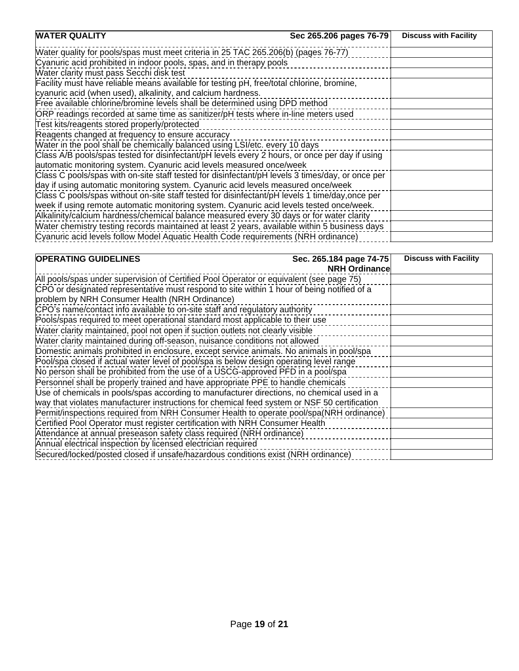| <b>WATER QUALITY</b>                                                                             | Sec 265.206 pages 76-79 | <b>Discuss with Facility</b> |
|--------------------------------------------------------------------------------------------------|-------------------------|------------------------------|
| Water quality for pools/spas must meet criteria in 25 TAC 265.206(b) (pages 76-77)               |                         |                              |
| Cyanuric acid prohibited in indoor pools, spas, and in therapy pools                             |                         |                              |
| Water clarity must pass Secchi disk test                                                         |                         |                              |
| Facility must have reliable means available for testing pH, free/total chlorine, bromine,        |                         |                              |
| cyanuric acid (when used), alkalinity, and calcium hardness.                                     |                         |                              |
| Free available chlorine/bromine levels shall be determined using DPD method                      |                         |                              |
| ORP readings recorded at same time as sanitizer/pH tests where in-line meters used               |                         |                              |
| Test kits/reagents stored properly/protected                                                     |                         |                              |
| Reagents changed at frequency to ensure accuracy                                                 |                         |                              |
| Water in the pool shall be chemically balanced using LSI/etc. every 10 days                      |                         |                              |
| Class A/B pools/spas tested for disinfectant/pH levels every 2 hours, or once per day if using   |                         |                              |
| automatic monitoring system. Cyanuric acid levels measured once/week                             |                         |                              |
| Class C pools/spas with on-site staff tested for disinfectant/pH levels 3 times/day, or once per |                         |                              |
| day if using automatic monitoring system. Cyanuric acid levels measured once/week                |                         |                              |
| Class C pools/spas without on-site staff tested for disinfectant/pH levels 1 time/day, once per  |                         |                              |
| week if using remote automatic monitoring system. Cyanuric acid levels tested once/week.         |                         |                              |
| Alkalinity/calcium hardness/chemical balance measured every 30 days or for water clarity         |                         |                              |
| Water chemistry testing records maintained at least 2 years, available within 5 business days    |                         |                              |
| Cyanuric acid levels follow Model Aquatic Health Code requirements (NRH ordinance)               |                         |                              |

| <b>OPERATING GUIDELINES</b>                                                                  | Sec. 265.184 page 74-75<br><b>NRH Ordinance</b> | <b>Discuss with Facility</b> |
|----------------------------------------------------------------------------------------------|-------------------------------------------------|------------------------------|
| All pools/spas under supervision of Certified Pool Operator or equivalent (see page 75)      |                                                 |                              |
| CPO or designated representative must respond to site within 1 hour of being notified of a   |                                                 |                              |
| problem by NRH Consumer Health (NRH Ordinance)                                               |                                                 |                              |
| CPO's name/contact info available to on-site staff and regulatory authority                  |                                                 |                              |
| Pools/spas required to meet operational standard most applicable to their use                |                                                 |                              |
| Water clarity maintained, pool not open if suction outlets not clearly visible               |                                                 |                              |
| Water clarity maintained during off-season, nuisance conditions not allowed                  |                                                 |                              |
| Domestic animals prohibited in enclosure, except service animals. No animals in pool/spa     |                                                 |                              |
| Pool/spa closed if actual water level of pool/spa is below design operating level range      |                                                 |                              |
| No person shall be prohibited from the use of a USCG-approved PFD in a pool/spa              |                                                 |                              |
| Personnel shall be properly trained and have appropriate PPE to handle chemicals             |                                                 |                              |
| Use of chemicals in pools/spas according to manufacturer directions, no chemical used in a   |                                                 |                              |
| way that violates manufacturer instructions for chemical feed system or NSF 50 certification |                                                 |                              |
| Permit/inspections required from NRH Consumer Health to operate pool/spa(NRH ordinance)      |                                                 |                              |
| Certified Pool Operator must register certification with NRH Consumer Health                 |                                                 |                              |
| Attendance at annual preseason safety class required (NRH ordinance)                         |                                                 |                              |
| Annual electrical inspection by licensed electrician required                                |                                                 |                              |
| Secured/locked/posted closed if unsafe/hazardous conditions exist (NRH ordinance)            |                                                 |                              |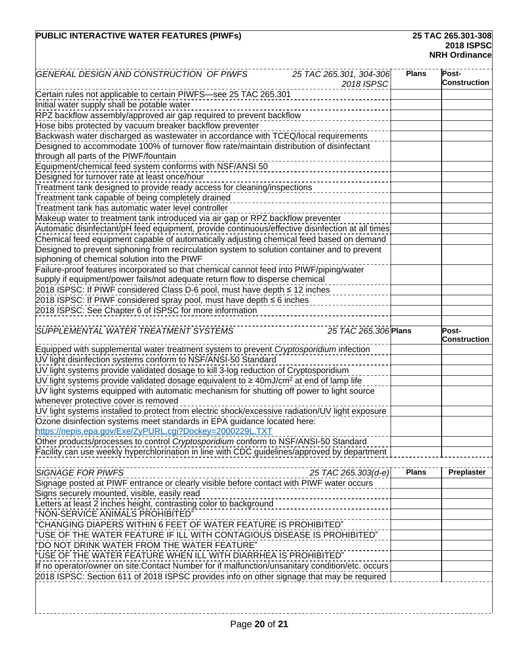### **PUBLIC INTERACTIVE WATER FEATURES (PIWFs)**

# **2018 ISPSC NRH Ordinance**

| 25 TAC 265.301, 304-306<br>GENERAL DESIGN AND CONSTRUCTION OF PIWFS<br>2018 ISPSC                                                                       | <b>Plans</b> | Post-<br><b>Construction</b> |
|---------------------------------------------------------------------------------------------------------------------------------------------------------|--------------|------------------------------|
| Certain rules not applicable to certain PIWFS-see 25 TAC 265.301                                                                                        |              |                              |
| Initial water supply shall be potable water                                                                                                             |              |                              |
| RPZ backflow assembly/approved air gap required to prevent backflow                                                                                     |              |                              |
| Hose bibs protected by vacuum breaker backflow preventer                                                                                                |              |                              |
| Backwash water discharged as wastewater in accordance with TCEQ/local requirements                                                                      |              |                              |
| Designed to accommodate 100% of turnover flow rate/maintain distribution of disinfectant<br>through all parts of the PIWF/fountain                      |              |                              |
| Equipment/chemical feed system conforms with NSF/ANSI 50                                                                                                |              |                              |
| Designed for turnover rate at least once/hour                                                                                                           |              |                              |
| Treatment tank designed to provide ready access for cleaning/inspections                                                                                |              |                              |
| Treatment tank capable of being completely drained                                                                                                      |              |                              |
| Treatment tank has automatic water level controller                                                                                                     |              |                              |
| Makeup water to treatment tank introduced via air gap or RPZ backflow preventer                                                                         |              |                              |
| Automatic disinfectant/pH feed equipment, provide continuous/effective disinfection at all times                                                        |              |                              |
| Chemical feed equipment capable of automatically adjusting chemical feed based on demand                                                                |              |                              |
| Designed to prevent siphoning from recirculation system to solution container and to prevent                                                            |              |                              |
| siphoning of chemical solution into the PIWF                                                                                                            |              |                              |
| Failure-proof features incorporated so that chemical cannot feed into PIWF/piping/water                                                                 |              |                              |
| supply if equipment/power fails/not adequate return flow to disperse chemical                                                                           |              |                              |
| 2018 ISPSC: If PIWF considered Class D-6 pool, must have depth ≤ 12 inches                                                                              |              |                              |
| 2018 ISPSC: If PIWF considered spray pool, must have depth ≤ 6 inches                                                                                   |              |                              |
| 2018 ISPSC: See Chapter 6 of ISPSC for more information                                                                                                 |              |                              |
| 25 TAC 265.306 Plans<br>SUPPLEMENTAL WATER TREATMENT SYSTEMS                                                                                            |              | Post-                        |
|                                                                                                                                                         |              | Construction                 |
| Equipped with supplemental water treatment system to prevent Cryptosporidium infection<br>UV light disinfection systems conform to NSF/ANSI-50 Standard |              |                              |
| UV light systems provide validated dosage to kill 3-log reduction of Cryptosporidium                                                                    |              |                              |
| UV light systems provide validated dosage equivalent to $\geq 40 \text{mJ/cm}^2$ at end of lamp life                                                    |              |                              |
| UV light systems equipped with automatic mechanism for shutting off power to light source                                                               |              |                              |
| whenever protective cover is removed                                                                                                                    |              |                              |
| UV light systems installed to protect from electric shock/excessive radiation/UV light exposure                                                         |              |                              |
| Ozone disinfection systems meet standards in EPA guidance located here:                                                                                 |              |                              |
|                                                                                                                                                         |              |                              |
| https://nepis.epa.gov/Exe/ZyPURL.cgi?Dockey=2000229L.TXT                                                                                                |              |                              |
| Other products/processes to control Cryptosporidium conform to NSF/ANSI-50 Standard                                                                     |              |                              |
| Facility can use weekly hyperchlorination in line with CDC guidelines/approved by department                                                            |              |                              |
|                                                                                                                                                         |              |                              |
| <b>SIGNAGE FOR PIWFS</b><br>25 TAC 265.303(d-e)                                                                                                         | <b>Plans</b> | Preplaster                   |
| Signage posted at PIWF entrance or clearly visible before contact with PIWF water occurs                                                                |              |                              |
| Signs securely mounted, visible, easily read                                                                                                            |              |                              |
| Letters at least 2 inches height, contrasting color to background                                                                                       |              |                              |
| "NON-SERVICE ANIMALS PROHIBITED"                                                                                                                        |              |                              |
| "CHANGING DIAPERS WITHIN 6 FEET OF WATER FEATURE IS PROHIBITED"                                                                                         |              |                              |
| $^{\omega}$ USE OF THE WATER FEATURE IF ILL WITH CONTAGIOUS DISEASE IS PROHIBITED"<br>"DO NOT DRINK WATER FROM THE WATER FEATURE"                       |              |                              |
| "USE OF THE WATER FEATURE WHEN ILL WITH DIARRHEA IS PROHIBITED"                                                                                         |              |                              |
| If no operator/owner on site:Contact Number for if malfunction/unsanitary condition/etc. occurs                                                         |              |                              |
| 2018 ISPSC: Section 611 of 2018 ISPSC provides info on other signage that may be required                                                               |              |                              |
|                                                                                                                                                         |              |                              |
|                                                                                                                                                         |              |                              |